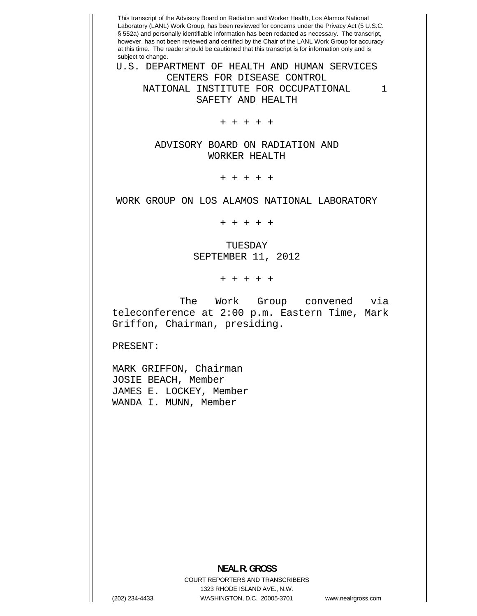This transcript of the Advisory Board on Radiation and Worker Health, Los Alamos National Laboratory (LANL) Work Group, has been reviewed for concerns under the Privacy Act (5 U.S.C. § 552a) and personally identifiable information has been redacted as necessary. The transcript, however, has not been reviewed and certified by the Chair of the LANL Work Group for accuracy at this time. The reader should be cautioned that this transcript is for information only and is subject to change. U.S. DEPARTMENT OF HEALTH AND HUMAN SERVICES CENTERS FOR DISEASE CONTROL

NATIONAL INSTITUTE FOR OCCUPATIONAL SAFETY AND HEALTH

+ + + + +

ADVISORY BOARD ON RADIATION AND WORKER HEALTH

+ + + + +

WORK GROUP ON LOS ALAMOS NATIONAL LABORATORY

+ + + + +

TUESDAY SEPTEMBER 11, 2012

+ + + + +

The Work Group convened via teleconference at 2:00 p.m. Eastern Time, Mark Griffon, Chairman, presiding.

PRESENT:

MARK GRIFFON, Chairman JOSIE BEACH, Member JAMES E. LOCKEY, Member WANDA I. MUNN, Member

## **NEAL R. GROSS**  COURT REPORTERS AND TRANSCRIBERS

1323 RHODE ISLAND AVE., N.W. (202) 234-4433 WASHINGTON, D.C. 20005-3701 www.nealrgross.com

1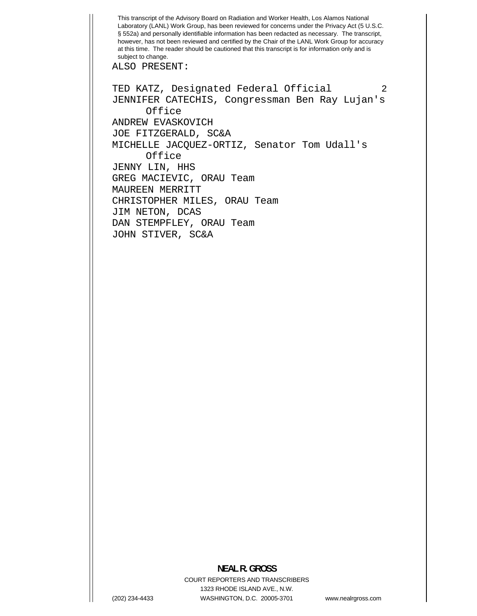This transcript of the Advisory Board on Radiation and Worker Health, Los Alamos National Laboratory (LANL) Work Group, has been reviewed for concerns under the Privacy Act (5 U.S.C. § 552a) and personally identifiable information has been redacted as necessary. The transcript, however, has not been reviewed and certified by the Chair of the LANL Work Group for accuracy at this time. The reader should be cautioned that this transcript is for information only and is subject to change.

ALSO PRESENT:

 2 TED KATZ, Designated Federal Official JENNIFER CATECHIS, Congressman Ben Ray Lujan's Office ANDREW EVASKOVICH JOE FITZGERALD, SC&A MICHELLE JACQUEZ-ORTIZ, Senator Tom Udall's **Office** JENNY LIN, HHS GREG MACIEVIC, ORAU Team MAUREEN MERRITT CHRISTOPHER MILES, ORAU Team JIM NETON, DCAS DAN STEMPFLEY, ORAU Team JOHN STIVER, SC&A

## **NEAL R. GROSS**

COURT REPORTERS AND TRANSCRIBERS 1323 RHODE ISLAND AVE., N.W. (202) 234-4433 WASHINGTON, D.C. 20005-3701 www.nealrgross.com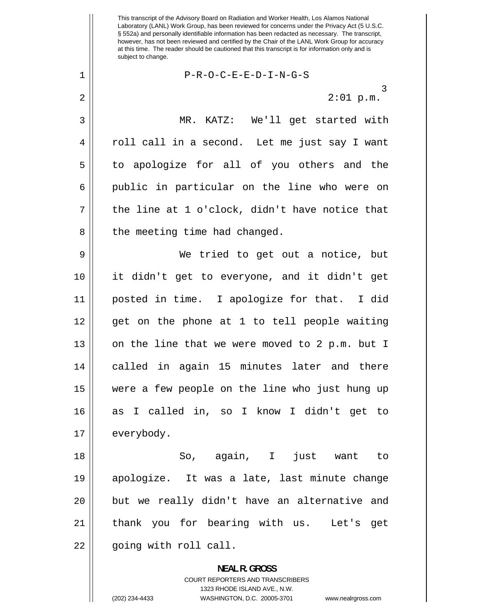3 This transcript of the Advisory Board on Radiation and Worker Health, Los Alamos National Laboratory (LANL) Work Group, has been reviewed for concerns under the Privacy Act (5 U.S.C. § 552a) and personally identifiable information has been redacted as necessary. The transcript, however, has not been reviewed and certified by the Chair of the LANL Work Group for accuracy at this time. The reader should be cautioned that this transcript is for information only and is subject to change. P-R-O-C-E-E-D-I-N-G-S 2:01 p.m. MR. KATZ: We'll get started with roll call in a second. Let me just say I want to apologize for all of you others and the public in particular on the line who were on the line at 1 o'clock, didn't have notice that the meeting time had changed. We tried to get out a notice, but it didn't get to everyone, and it didn't get posted in time. I apologize for that. I did get on the phone at 1 to tell people waiting on the line that we were moved to 2 p.m. but I called in again 15 minutes later and there were a few people on the line who just hung up as I called in, so I know I didn't get to

17 everybody.

(202) 234-4433

1

2

3

4

5

6

7

8

9

10

11

12

13

14

15

16

18 19 20 21 22 So, again, I just want to apologize. It was a late, last minute change but we really didn't have an alternative and thank you for bearing with us. Let's get going with roll call.

> **NEAL R. GROSS**  COURT REPORTERS AND TRANSCRIBERS 1323 RHODE ISLAND AVE., N.W. WASHINGTON, D.C. 20005-3701 www.nealrgross.com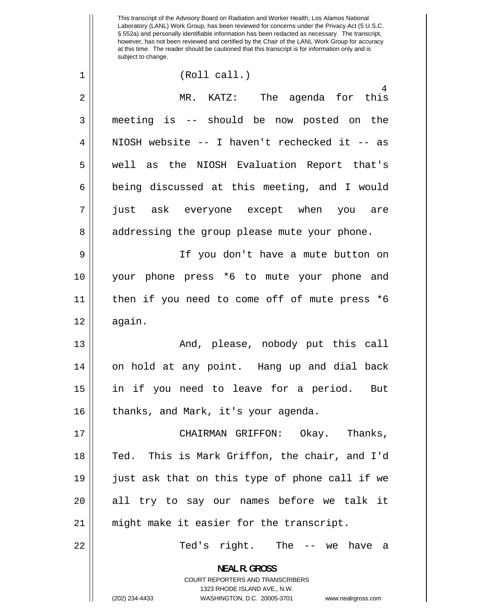This transcript of the Advisory Board on Radiation and Worker Health, Los Alamos National Laboratory (LANL) Work Group, has been reviewed for concerns under the Privacy Act (5 U.S.C. § 552a) and personally identifiable information has been redacted as necessary. The transcript, however, has not been reviewed and certified by the Chair of the LANL Work Group for accuracy at this time. The reader should be cautioned that this transcript is for information only and is subject to change.

(Roll call.)

1

| $\overline{2}$ | 4<br>MR. KATZ: The agenda for this             |
|----------------|------------------------------------------------|
| 3              | meeting is -- should be now posted on the      |
| 4              | NIOSH website -- I haven't rechecked it -- as  |
| 5              | well as the NIOSH Evaluation Report that's     |
| 6              | being discussed at this meeting, and I would   |
| 7              | just ask everyone except when you are          |
| 8              | addressing the group please mute your phone.   |
| 9              | If you don't have a mute button on             |
| 10             | your phone press *6 to mute your phone and     |
| 11             | then if you need to come off of mute press *6  |
| 12             | again.                                         |
| 13             | And, please, nobody put this call              |
| 14             | on hold at any point. Hang up and dial back    |
| 15             | in if you need to leave for a period. But      |
| 16             | thanks, and Mark, it's your agenda.            |
| 17             | CHAIRMAN GRIFFON: Okay. Thanks,                |
| 18             | Ted. This is Mark Griffon, the chair, and I'd  |
| 19             | just ask that on this type of phone call if we |
| 20             | all try to say our names before we talk it     |
| 21             | might make it easier for the transcript.       |
| 22             | Ted's right. The -- we have<br>a               |
|                | <b>NEAL R. GROSS</b>                           |

COURT REPORTERS AND TRANSCRIBERS 1323 RHODE ISLAND AVE., N.W.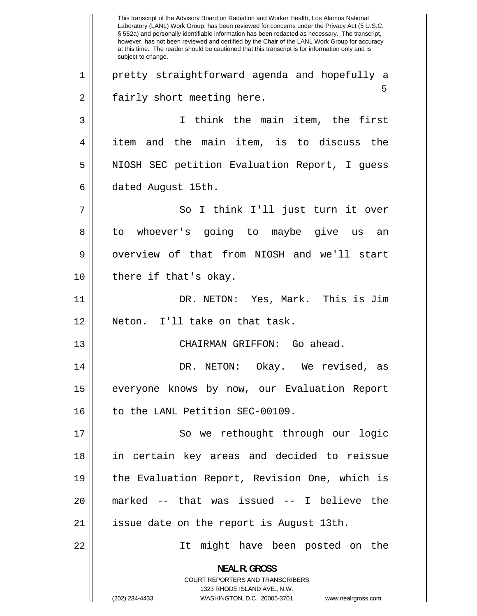5 1 2 3 4 5 6 7 8 9 10 11 12 13 14 15 16 17 18 19 20 21 22 This transcript of the Advisory Board on Radiation and Worker Health, Los Alamos National Laboratory (LANL) Work Group, has been reviewed for concerns under the Privacy Act (5 U.S.C. § 552a) and personally identifiable information has been redacted as necessary. The transcript, however, has not been reviewed and certified by the Chair of the LANL Work Group for accuracy at this time. The reader should be cautioned that this transcript is for information only and is subject to change. pretty straightforward agenda and hopefully a fairly short meeting here. I think the main item, the first item and the main item, is to discuss the NIOSH SEC petition Evaluation Report, I guess dated August 15th. So I think I'll just turn it over to whoever's going to maybe give us an overview of that from NIOSH and we'll start there if that's okay. DR. NETON: Yes, Mark. This is Jim Neton. I'll take on that task. CHAIRMAN GRIFFON: Go ahead. DR. NETON: Okay. We revised, as everyone knows by now, our Evaluation Report to the LANL Petition SEC-00109. So we rethought through our logic in certain key areas and decided to reissue the Evaluation Report, Revision One, which is marked -- that was issued -- I believe the issue date on the report is August 13th. It might have been posted on the **NEAL R. GROSS**  COURT REPORTERS AND TRANSCRIBERS 1323 RHODE ISLAND AVE., N.W. (202) 234-4433 WASHINGTON, D.C. 20005-3701 www.nealrgross.com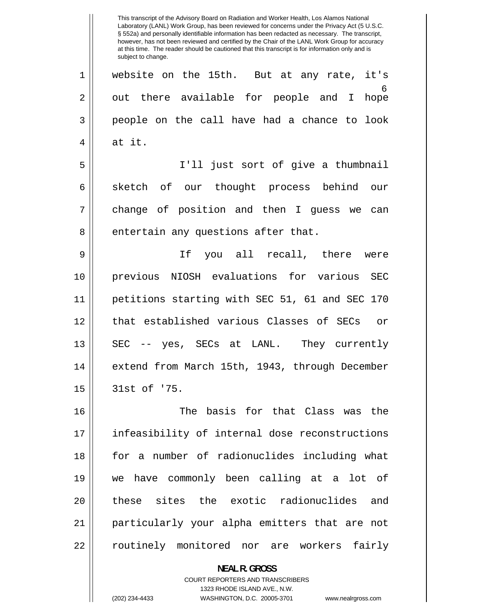6 1 2 3 4 5 6 7 8 9 10 11 12 13 14 15 16 17 18 19 20 21 22 This transcript of the Advisory Board on Radiation and Worker Health, Los Alamos National Laboratory (LANL) Work Group, has been reviewed for concerns under the Privacy Act (5 U.S.C. § 552a) and personally identifiable information has been redacted as necessary. The transcript, however, has not been reviewed and certified by the Chair of the LANL Work Group for accuracy at this time. The reader should be cautioned that this transcript is for information only and is subject to change. website on the 15th. But at any rate, it's out there available for people and I hope people on the call have had a chance to look at it. I'll just sort of give a thumbnail sketch of our thought process behind our change of position and then I guess we can entertain any questions after that. If you all recall, there were previous NIOSH evaluations for various SEC petitions starting with SEC 51, 61 and SEC 170 that established various Classes of SECs or SEC -- yes, SECs at LANL. They currently extend from March 15th, 1943, through December 31st of '75. The basis for that Class was the infeasibility of internal dose reconstructions for a number of radionuclides including what we have commonly been calling at a lot of these sites the exotic radionuclides and particularly your alpha emitters that are not routinely monitored nor are workers fairly

> **NEAL R. GROSS**  COURT REPORTERS AND TRANSCRIBERS 1323 RHODE ISLAND AVE., N.W.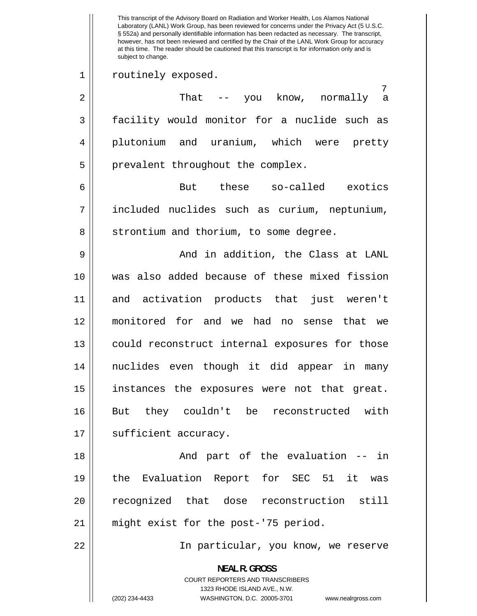7 1 2 3 4 5 6 7 8 9 10 11 12 13 14 15 16 17 18 19 20 21 22 This transcript of the Advisory Board on Radiation and Worker Health, Los Alamos National Laboratory (LANL) Work Group, has been reviewed for concerns under the Privacy Act (5 U.S.C. § 552a) and personally identifiable information has been redacted as necessary. The transcript, however, has not been reviewed and certified by the Chair of the LANL Work Group for accuracy at this time. The reader should be cautioned that this transcript is for information only and is subject to change. routinely exposed. That -- you know, normally a facility would monitor for a nuclide such as plutonium and uranium, which were pretty prevalent throughout the complex. But these so-called exotics included nuclides such as curium, neptunium, strontium and thorium, to some degree. And in addition, the Class at LANL was also added because of these mixed fission and activation products that just weren't monitored for and we had no sense that we could reconstruct internal exposures for those nuclides even though it did appear in many instances the exposures were not that great. But they couldn't be reconstructed with sufficient accuracy. And part of the evaluation -- in the Evaluation Report for SEC 51 it was recognized that dose reconstruction still might exist for the post-'75 period. In particular, you know, we reserve **NEAL R. GROSS**  COURT REPORTERS AND TRANSCRIBERS 1323 RHODE ISLAND AVE., N.W.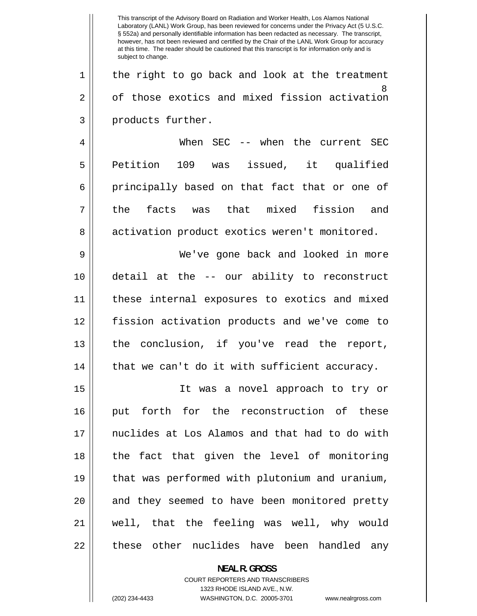|    | This transcript of the Advisory Board on Radiation and Worker Health, Los Alamos National<br>Laboratory (LANL) Work Group, has been reviewed for concerns under the Privacy Act (5 U.S.C.<br>§ 552a) and personally identifiable information has been redacted as necessary. The transcript,<br>however, has not been reviewed and certified by the Chair of the LANL Work Group for accuracy<br>at this time. The reader should be cautioned that this transcript is for information only and is<br>subject to change. |
|----|-------------------------------------------------------------------------------------------------------------------------------------------------------------------------------------------------------------------------------------------------------------------------------------------------------------------------------------------------------------------------------------------------------------------------------------------------------------------------------------------------------------------------|
| 1  | the right to go back and look at the treatment                                                                                                                                                                                                                                                                                                                                                                                                                                                                          |
| 2  | 8<br>of those exotics and mixed fission activation                                                                                                                                                                                                                                                                                                                                                                                                                                                                      |
| 3  | products further.                                                                                                                                                                                                                                                                                                                                                                                                                                                                                                       |
| 4  | When SEC -- when the current SEC                                                                                                                                                                                                                                                                                                                                                                                                                                                                                        |
| 5  | Petition<br>issued, it qualified<br>109<br>was                                                                                                                                                                                                                                                                                                                                                                                                                                                                          |
| 6  | principally based on that fact that or one of                                                                                                                                                                                                                                                                                                                                                                                                                                                                           |
| 7  | facts<br>was that mixed<br>fission<br>the<br>and                                                                                                                                                                                                                                                                                                                                                                                                                                                                        |
| 8  | activation product exotics weren't monitored.                                                                                                                                                                                                                                                                                                                                                                                                                                                                           |
| 9  | We've gone back and looked in more                                                                                                                                                                                                                                                                                                                                                                                                                                                                                      |
| 10 | detail at the -- our ability to reconstruct                                                                                                                                                                                                                                                                                                                                                                                                                                                                             |
| 11 | these internal exposures to exotics and mixed                                                                                                                                                                                                                                                                                                                                                                                                                                                                           |
| 12 | fission activation products and we've come to                                                                                                                                                                                                                                                                                                                                                                                                                                                                           |
| 13 | conclusion, if you've read<br>the<br>the<br>report,                                                                                                                                                                                                                                                                                                                                                                                                                                                                     |
| 14 | that we can't do it with sufficient accuracy.                                                                                                                                                                                                                                                                                                                                                                                                                                                                           |
| 15 | It was a novel approach to try or                                                                                                                                                                                                                                                                                                                                                                                                                                                                                       |
| 16 | put forth for the reconstruction of these                                                                                                                                                                                                                                                                                                                                                                                                                                                                               |
| 17 | nuclides at Los Alamos and that had to do with                                                                                                                                                                                                                                                                                                                                                                                                                                                                          |
| 18 | the fact that given the level of monitoring                                                                                                                                                                                                                                                                                                                                                                                                                                                                             |
| 19 | that was performed with plutonium and uranium,                                                                                                                                                                                                                                                                                                                                                                                                                                                                          |
| 20 | and they seemed to have been monitored pretty                                                                                                                                                                                                                                                                                                                                                                                                                                                                           |
| 21 | well, that the feeling was well, why would                                                                                                                                                                                                                                                                                                                                                                                                                                                                              |
| 22 | these other nuclides have been handled any                                                                                                                                                                                                                                                                                                                                                                                                                                                                              |

**NEAL R. GROSS**  COURT REPORTERS AND TRANSCRIBERS 1323 RHODE ISLAND AVE., N.W.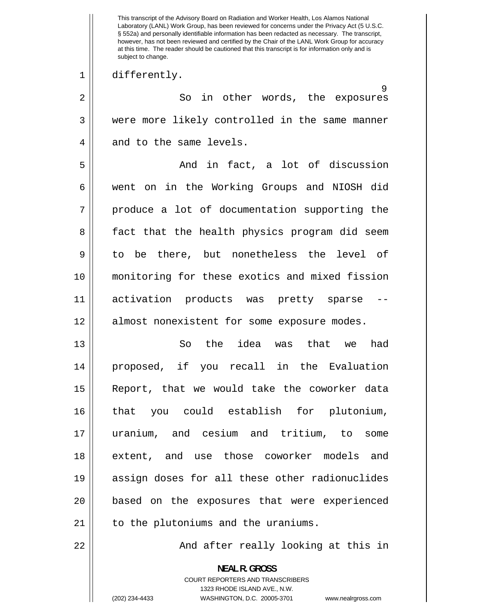This transcript of the Advisory Board on Radiation and Worker Health, Los Alamos National Laboratory (LANL) Work Group, has been reviewed for concerns under the Privacy Act (5 U.S.C. § 552a) and personally identifiable information has been redacted as necessary. The transcript, however, has not been reviewed and certified by the Chair of the LANL Work Group for accuracy at this time. The reader should be cautioned that this transcript is for information only and is subject to change.

## differently.

1

 $\alpha$ 2 3 4 5 6 7 8 9 10 11 12 So in other words, the exposures were more likely controlled in the same manner and to the same levels. And in fact, a lot of discussion went on in the Working Groups and NIOSH did produce a lot of documentation supporting the fact that the health physics program did seem to be there, but nonetheless the level of monitoring for these exotics and mixed fission activation products was pretty sparse almost nonexistent for some exposure modes.

13 14 15 16 17 18 19 20 21 So the idea was that we had proposed, if you recall in the Evaluation Report, that we would take the coworker data that you could establish for plutonium, uranium, and cesium and tritium, to some extent, and use those coworker models and assign doses for all these other radionuclides based on the exposures that were experienced to the plutoniums and the uraniums.

22

And after really looking at this in

**NEAL R. GROSS**  COURT REPORTERS AND TRANSCRIBERS 1323 RHODE ISLAND AVE., N.W. (202) 234-4433 WASHINGTON, D.C. 20005-3701 www.nealrgross.com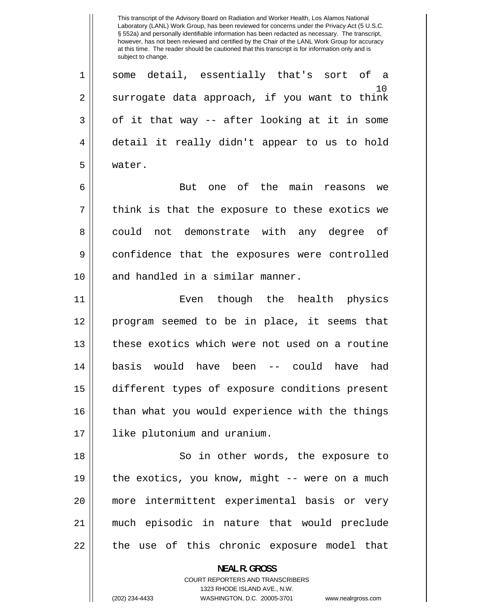10 1 2 3 4 5 6 7 8 9 10 11 12 13 14 15 16 17 18 19 20 21 22 This transcript of the Advisory Board on Radiation and Worker Health, Los Alamos National Laboratory (LANL) Work Group, has been reviewed for concerns under the Privacy Act (5 U.S.C. § 552a) and personally identifiable information has been redacted as necessary. The transcript, however, has not been reviewed and certified by the Chair of the LANL Work Group for accuracy at this time. The reader should be cautioned that this transcript is for information only and is subject to change. some detail, essentially that's sort of a surrogate data approach, if you want to think of it that way -- after looking at it in some detail it really didn't appear to us to hold water. But one of the main reasons we think is that the exposure to these exotics we could not demonstrate with any degree of confidence that the exposures were controlled and handled in a similar manner. Even though the health physics program seemed to be in place, it seems that these exotics which were not used on a routine basis would have been -- could have had different types of exposure conditions present than what you would experience with the things like plutonium and uranium. So in other words, the exposure to the exotics, you know, might -- were on a much more intermittent experimental basis or very much episodic in nature that would preclude the use of this chronic exposure model that

> **NEAL R. GROSS**  COURT REPORTERS AND TRANSCRIBERS 1323 RHODE ISLAND AVE., N.W.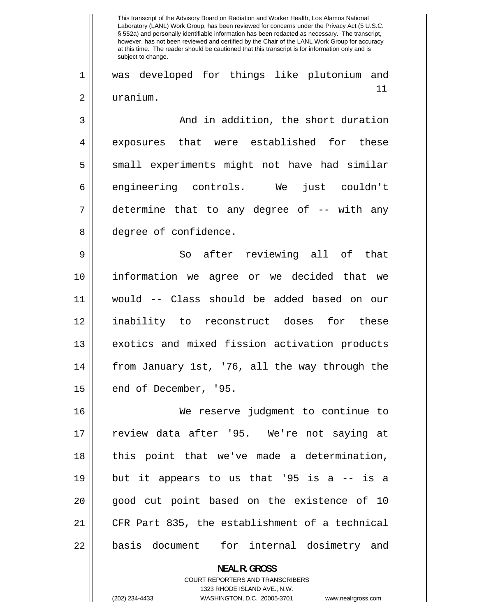$11$ 1 2 3 4 5 6 7 8 9 10 11 12 13 14 15 16 17 18 19 20 21 22 This transcript of the Advisory Board on Radiation and Worker Health, Los Alamos National Laboratory (LANL) Work Group, has been reviewed for concerns under the Privacy Act (5 U.S.C. § 552a) and personally identifiable information has been redacted as necessary. The transcript, however, has not been reviewed and certified by the Chair of the LANL Work Group for accuracy at this time. The reader should be cautioned that this transcript is for information only and is subject to change. was developed for things like plutonium and uranium. And in addition, the short duration exposures that were established for these small experiments might not have had similar engineering controls. We just couldn't determine that to any degree of -- with any degree of confidence. So after reviewing all of that information we agree or we decided that we would -- Class should be added based on our inability to reconstruct doses for these exotics and mixed fission activation products from January 1st, '76, all the way through the end of December, '95. We reserve judgment to continue to review data after '95. We're not saying at this point that we've made a determination, but it appears to us that '95 is a -- is a good cut point based on the existence of 10 CFR Part 835, the establishment of a technical basis document for internal dosimetry and **NEAL R. GROSS** 

> COURT REPORTERS AND TRANSCRIBERS 1323 RHODE ISLAND AVE., N.W.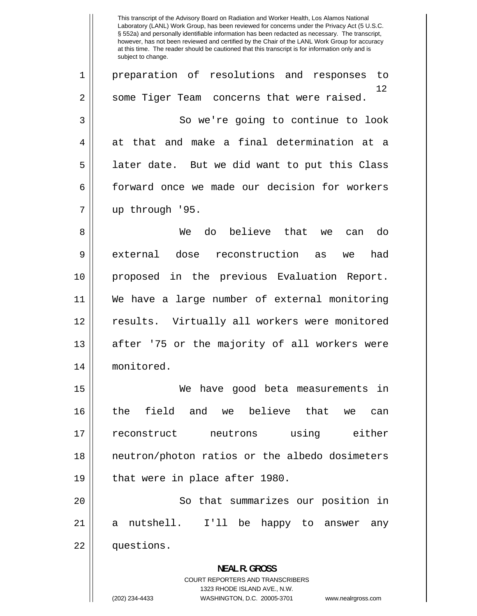$12$ 1 2 3 4 5 6 7 8 9 10 11 12 13 14 15 16 17 18 19 20 21 22 This transcript of the Advisory Board on Radiation and Worker Health, Los Alamos National Laboratory (LANL) Work Group, has been reviewed for concerns under the Privacy Act (5 U.S.C. § 552a) and personally identifiable information has been redacted as necessary. The transcript, however, has not been reviewed and certified by the Chair of the LANL Work Group for accuracy at this time. The reader should be cautioned that this transcript is for information only and is subject to change. preparation of resolutions and responses to some Tiger Team concerns that were raised. So we're going to continue to look at that and make a final determination at a later date. But we did want to put this Class forward once we made our decision for workers up through '95. We do believe that we can do external dose reconstruction as we had proposed in the previous Evaluation Report. We have a large number of external monitoring results. Virtually all workers were monitored after '75 or the majority of all workers were monitored. We have good beta measurements in the field and we believe that we can reconstruct neutrons using either neutron/photon ratios or the albedo dosimeters that were in place after 1980. So that summarizes our position in a nutshell. I'll be happy to answer any questions. **NEAL R. GROSS**  COURT REPORTERS AND TRANSCRIBERS 1323 RHODE ISLAND AVE., N.W.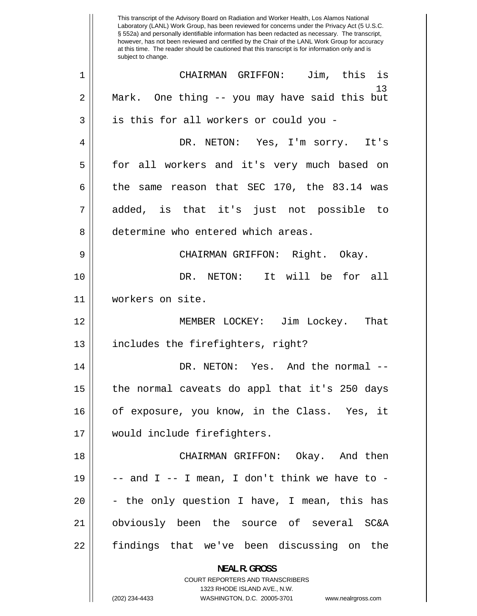13 1 2 3 4 5 6 7 8 9 10 11 12 13 14 15 16 17 18 19 20 21 22 This transcript of the Advisory Board on Radiation and Worker Health, Los Alamos National Laboratory (LANL) Work Group, has been reviewed for concerns under the Privacy Act (5 U.S.C. § 552a) and personally identifiable information has been redacted as necessary. The transcript, however, has not been reviewed and certified by the Chair of the LANL Work Group for accuracy at this time. The reader should be cautioned that this transcript is for information only and is subject to change. CHAIRMAN GRIFFON: Jim, this is Mark. One thing -- you may have said this but is this for all workers or could you - DR. NETON: Yes, I'm sorry. It's for all workers and it's very much based on the same reason that SEC 170, the 83.14 was added, is that it's just not possible to determine who entered which areas. CHAIRMAN GRIFFON: Right. Okay. DR. NETON: It will be for all workers on site. MEMBER LOCKEY: Jim Lockey. That includes the firefighters, right? DR. NETON: Yes. And the normal - the normal caveats do appl that it's 250 days of exposure, you know, in the Class. Yes, it would include firefighters. CHAIRMAN GRIFFON: Okay. And then  $--$  and I  $--$  I mean, I don't think we have to  $-$ - the only question I have, I mean, this has obviously been the source of several SC&A findings that we've been discussing on the

> **NEAL R. GROSS**  COURT REPORTERS AND TRANSCRIBERS

> > 1323 RHODE ISLAND AVE., N.W.

<sup>(202) 234-4433</sup> WASHINGTON, D.C. 20005-3701 www.nealrgross.com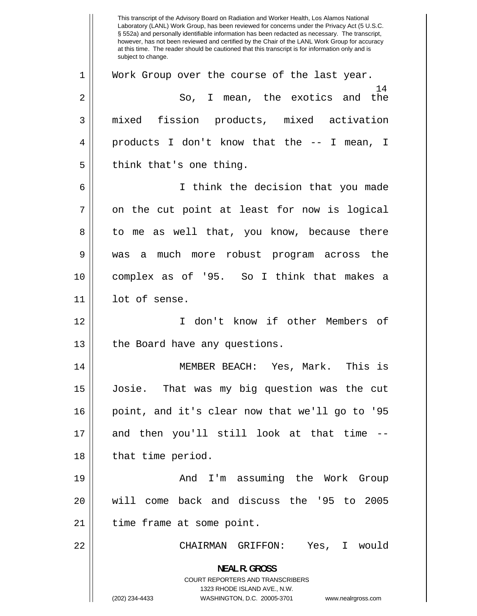14 1 2 3 4 5 6 7 8 9 10 11 12 13 14 15 16 17 18 19 20 21 22 This transcript of the Advisory Board on Radiation and Worker Health, Los Alamos National Laboratory (LANL) Work Group, has been reviewed for concerns under the Privacy Act (5 U.S.C. § 552a) and personally identifiable information has been redacted as necessary. The transcript, however, has not been reviewed and certified by the Chair of the LANL Work Group for accuracy at this time. The reader should be cautioned that this transcript is for information only and is subject to change. Work Group over the course of the last year. So, I mean, the exotics and the mixed fission products, mixed activation products I don't know that the -- I mean, I think that's one thing. I think the decision that you made on the cut point at least for now is logical to me as well that, you know, because there was a much more robust program across the complex as of '95. So I think that makes a lot of sense. I don't know if other Members of the Board have any questions. MEMBER BEACH: Yes, Mark. This is Josie. That was my big question was the cut point, and it's clear now that we'll go to '95 and then you'll still look at that time - that time period. And I'm assuming the Work Group will come back and discuss the '95 to 2005 time frame at some point. CHAIRMAN GRIFFON: Yes, I would **NEAL R. GROSS**  COURT REPORTERS AND TRANSCRIBERS 1323 RHODE ISLAND AVE., N.W. (202) 234-4433 WASHINGTON, D.C. 20005-3701 www.nealrgross.com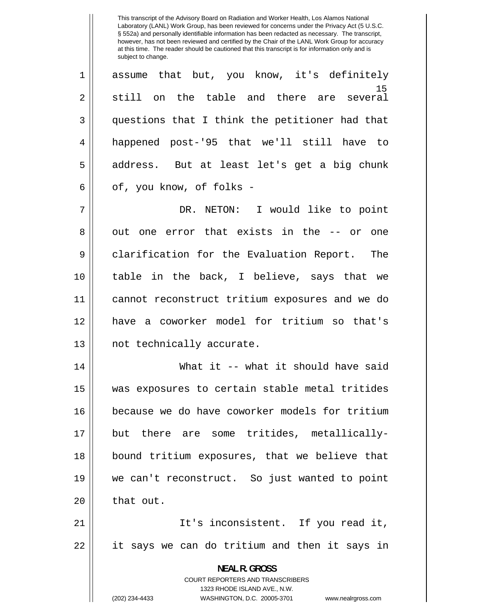This transcript of the Advisory Board on Radiation and Worker Health, Los Alamos National Laboratory (LANL) Work Group, has been reviewed for concerns under the Privacy Act (5 U.S.C. § 552a) and personally identifiable information has been redacted as necessary. The transcript, however, has not been reviewed and certified by the Chair of the LANL Work Group for accuracy at this time. The reader should be cautioned that this transcript is for information only and is subject to change.

 $15$ 1 2 3 4 5 6 7 8 9 10 11 12 13 14 15 assume that but, you know, it's definitely still on the table and there are several questions that I think the petitioner had that happened post-'95 that we'll still have to address. But at least let's get a big chunk of, you know, of folks - DR. NETON: I would like to point out one error that exists in the -- or one clarification for the Evaluation Report. The table in the back, I believe, says that we cannot reconstruct tritium exposures and we do have a coworker model for tritium so that's not technically accurate. What it -- what it should have said was exposures to certain stable metal tritides

16 17 18 19 20 because we do have coworker models for tritium but there are some tritides, metallicallybound tritium exposures, that we believe that we can't reconstruct. So just wanted to point that out.

21 22 It's inconsistent. If you read it, it says we can do tritium and then it says in

> **NEAL R. GROSS**  COURT REPORTERS AND TRANSCRIBERS 1323 RHODE ISLAND AVE., N.W. (202) 234-4433 WASHINGTON, D.C. 20005-3701 www.nealrgross.com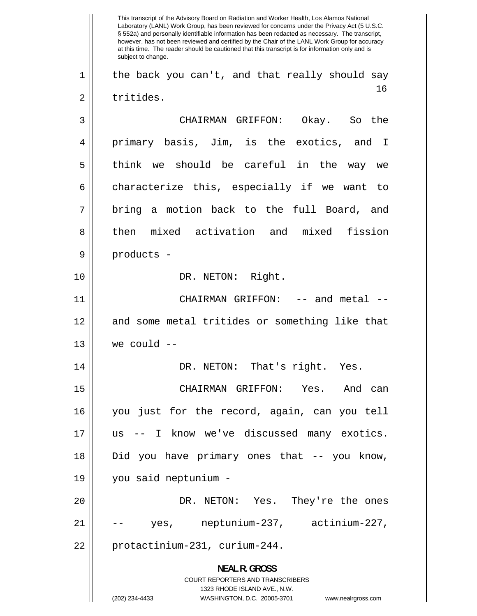16 1 2 3 4 5 6 7 8 9 10 11 12 13 14 15 16 17 18 19 20 21 22 This transcript of the Advisory Board on Radiation and Worker Health, Los Alamos National Laboratory (LANL) Work Group, has been reviewed for concerns under the Privacy Act (5 U.S.C. § 552a) and personally identifiable information has been redacted as necessary. The transcript, however, has not been reviewed and certified by the Chair of the LANL Work Group for accuracy at this time. The reader should be cautioned that this transcript is for information only and is subject to change. the back you can't, and that really should say tritides. CHAIRMAN GRIFFON: Okay. So the primary basis, Jim, is the exotics, and I think we should be careful in the way we characterize this, especially if we want to bring a motion back to the full Board, and then mixed activation and mixed fission products - DR. NETON: Right. CHAIRMAN GRIFFON: -- and metal - and some metal tritides or something like that we could -- DR. NETON: That's right. Yes. CHAIRMAN GRIFFON: Yes. And can you just for the record, again, can you tell us -- I know we've discussed many exotics. Did you have primary ones that -- you know, you said neptunium - DR. NETON: Yes. They're the ones yes, neptunium-237, actinium-227, protactinium-231, curium-244. **NEAL R. GROSS**  COURT REPORTERS AND TRANSCRIBERS 1323 RHODE ISLAND AVE., N.W. (202) 234-4433 WASHINGTON, D.C. 20005-3701 www.nealrgross.com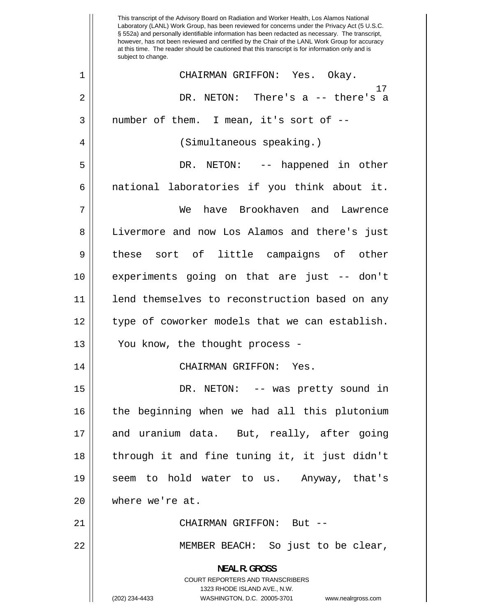17 1 2 3 4 5 6 7 8 9 10 11 12 13 14 15 16 17 18 19 20 21 22 This transcript of the Advisory Board on Radiation and Worker Health, Los Alamos National Laboratory (LANL) Work Group, has been reviewed for concerns under the Privacy Act (5 U.S.C. § 552a) and personally identifiable information has been redacted as necessary. The transcript, however, has not been reviewed and certified by the Chair of the LANL Work Group for accuracy at this time. The reader should be cautioned that this transcript is for information only and is subject to change. CHAIRMAN GRIFFON: Yes. Okay. DR. NETON: There's a -- there's a number of them. I mean, it's sort of -- (Simultaneous speaking.) DR. NETON: -- happened in other national laboratories if you think about it. We have Brookhaven and Lawrence Livermore and now Los Alamos and there's just these sort of little campaigns of other experiments going on that are just -- don't lend themselves to reconstruction based on any type of coworker models that we can establish. You know, the thought process - CHAIRMAN GRIFFON: Yes. DR. NETON: -- was pretty sound in the beginning when we had all this plutonium and uranium data. But, really, after going through it and fine tuning it, it just didn't seem to hold water to us. Anyway, that's where we're at. CHAIRMAN GRIFFON: But -- MEMBER BEACH: So just to be clear, **NEAL R. GROSS**  COURT REPORTERS AND TRANSCRIBERS 1323 RHODE ISLAND AVE., N.W. (202) 234-4433 WASHINGTON, D.C. 20005-3701 www.nealrgross.com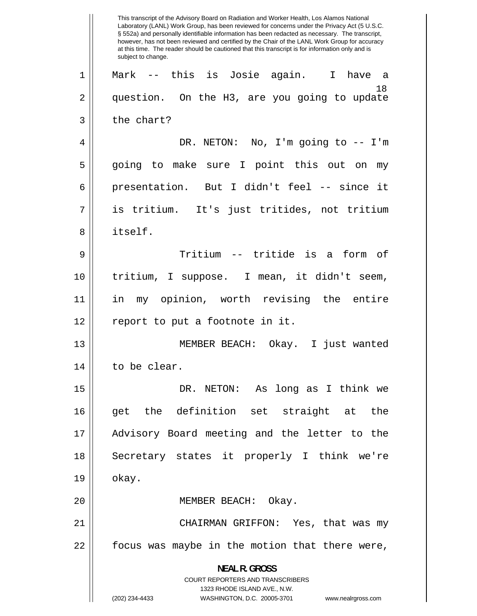18 1 2 3 4 5 6 7 8 9 10 11 12 13 14 15 16 17 18 19 20 21 22 This transcript of the Advisory Board on Radiation and Worker Health, Los Alamos National Laboratory (LANL) Work Group, has been reviewed for concerns under the Privacy Act (5 U.S.C. § 552a) and personally identifiable information has been redacted as necessary. The transcript, however, has not been reviewed and certified by the Chair of the LANL Work Group for accuracy at this time. The reader should be cautioned that this transcript is for information only and is subject to change. Mark -- this is Josie again. I have a question. On the H3, are you going to update the chart? DR. NETON: No, I'm going to -- I'm going to make sure I point this out on my presentation. But I didn't feel -- since it is tritium. It's just tritides, not tritium itself. Tritium -- tritide is a form of tritium, I suppose. I mean, it didn't seem, in my opinion, worth revising the entire report to put a footnote in it. MEMBER BEACH: Okay. I just wanted to be clear. DR. NETON: As long as I think we get the definition set straight at the Advisory Board meeting and the letter to the Secretary states it properly I think we're okay. MEMBER BEACH: Okay. CHAIRMAN GRIFFON: Yes, that was my focus was maybe in the motion that there were, **NEAL R. GROSS**  COURT REPORTERS AND TRANSCRIBERS 1323 RHODE ISLAND AVE., N.W. (202) 234-4433 WASHINGTON, D.C. 20005-3701 www.nealrgross.com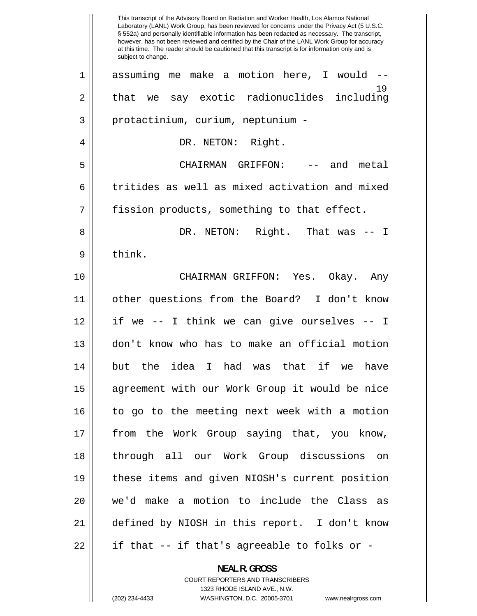19 1 2 3 4 5 6 7 8 9 10 11 12 13 14 15 16 17 18 19 20 21 22 This transcript of the Advisory Board on Radiation and Worker Health, Los Alamos National Laboratory (LANL) Work Group, has been reviewed for concerns under the Privacy Act (5 U.S.C. § 552a) and personally identifiable information has been redacted as necessary. The transcript, however, has not been reviewed and certified by the Chair of the LANL Work Group for accuracy at this time. The reader should be cautioned that this transcript is for information only and is subject to change. assuming me make a motion here, I would - that we say exotic radionuclides including protactinium, curium, neptunium - DR. NETON: Right. CHAIRMAN GRIFFON: -- and metal tritides as well as mixed activation and mixed fission products, something to that effect. DR. NETON: Right. That was -- I think. CHAIRMAN GRIFFON: Yes. Okay. Any other questions from the Board? I don't know if we -- I think we can give ourselves -- I don't know who has to make an official motion but the idea I had was that if we have agreement with our Work Group it would be nice to go to the meeting next week with a motion from the Work Group saying that, you know, through all our Work Group discussions on these items and given NIOSH's current position we'd make a motion to include the Class as defined by NIOSH in this report. I don't know if that -- if that's agreeable to folks or -

> **NEAL R. GROSS**  COURT REPORTERS AND TRANSCRIBERS 1323 RHODE ISLAND AVE., N.W.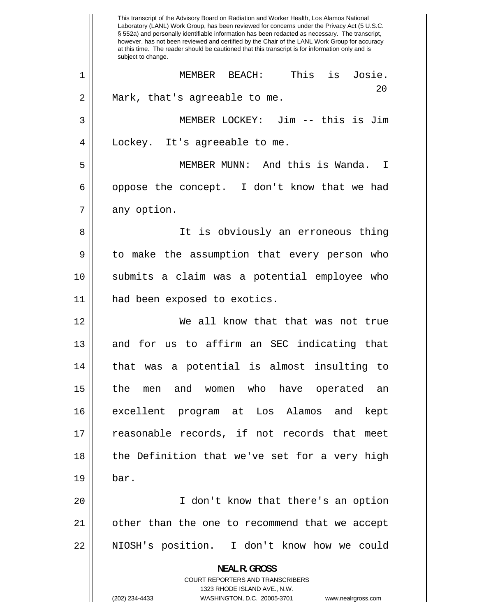1 2 3 4 5 6 7 8 9 10 11 12 13 14 15 16 17 18 19 20 21 22 This transcript of the Advisory Board on Radiation and Worker Health, Los Alamos National Laboratory (LANL) Work Group, has been reviewed for concerns under the Privacy Act (5 U.S.C. § 552a) and personally identifiable information has been redacted as necessary. The transcript, however, has not been reviewed and certified by the Chair of the LANL Work Group for accuracy at this time. The reader should be cautioned that this transcript is for information only and is subject to change. MEMBER BEACH: This is Josie. 20 Mark, that's agreeable to me. MEMBER LOCKEY: Jim -- this is Jim Lockey. It's agreeable to me. MEMBER MUNN: And this is Wanda. I oppose the concept. I don't know that we had any option. It is obviously an erroneous thing to make the assumption that every person who submits a claim was a potential employee who had been exposed to exotics. We all know that that was not true and for us to affirm an SEC indicating that that was a potential is almost insulting to the men and women who have operated an excellent program at Los Alamos and kept reasonable records, if not records that meet the Definition that we've set for a very high bar. I don't know that there's an option other than the one to recommend that we accept NIOSH's position. I don't know how we could **NEAL R. GROSS**  COURT REPORTERS AND TRANSCRIBERS 1323 RHODE ISLAND AVE., N.W. (202) 234-4433 WASHINGTON, D.C. 20005-3701 www.nealrgross.com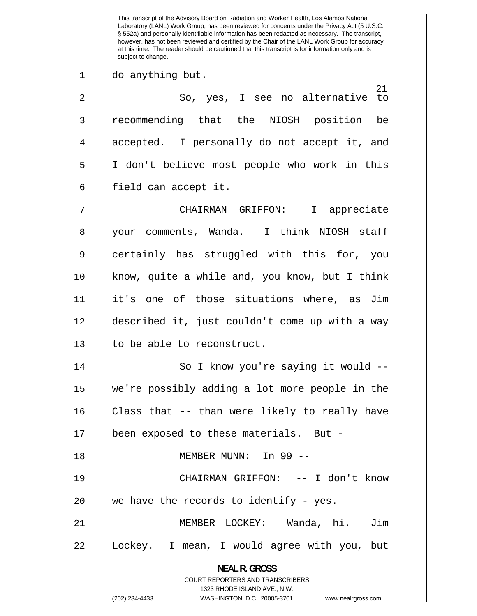21 1 2 3 4 5 6 7 8 9 10 11 12 13 14 15 16 17 18 19 20 21 22 This transcript of the Advisory Board on Radiation and Worker Health, Los Alamos National Laboratory (LANL) Work Group, has been reviewed for concerns under the Privacy Act (5 U.S.C. § 552a) and personally identifiable information has been redacted as necessary. The transcript, however, has not been reviewed and certified by the Chair of the LANL Work Group for accuracy at this time. The reader should be cautioned that this transcript is for information only and is subject to change. do anything but. So, yes, I see no alternative to recommending that the NIOSH position be accepted. I personally do not accept it, and I don't believe most people who work in this field can accept it. CHAIRMAN GRIFFON: I appreciate your comments, Wanda. I think NIOSH staff certainly has struggled with this for, you know, quite a while and, you know, but I think it's one of those situations where, as Jim described it, just couldn't come up with a way to be able to reconstruct. So I know you're saying it would - we're possibly adding a lot more people in the Class that -- than were likely to really have been exposed to these materials. But - MEMBER MUNN: In 99 -- CHAIRMAN GRIFFON: -- I don't know we have the records to identify - yes. MEMBER LOCKEY: Wanda, hi. Jim Lockey. I mean, I would agree with you, but

> **NEAL R. GROSS**  COURT REPORTERS AND TRANSCRIBERS

> > 1323 RHODE ISLAND AVE., N.W.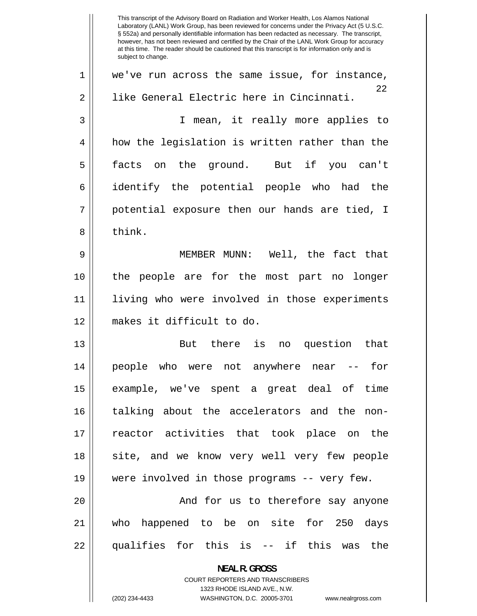<u>22</u> 1 2 3 4 5 6 7 8 9 10 11 12 13 14 15 16 17 18 19 20 21 22 This transcript of the Advisory Board on Radiation and Worker Health, Los Alamos National Laboratory (LANL) Work Group, has been reviewed for concerns under the Privacy Act (5 U.S.C. § 552a) and personally identifiable information has been redacted as necessary. The transcript, however, has not been reviewed and certified by the Chair of the LANL Work Group for accuracy at this time. The reader should be cautioned that this transcript is for information only and is subject to change. we've run across the same issue, for instance, like General Electric here in Cincinnati. I mean, it really more applies to how the legislation is written rather than the facts on the ground. But if you can't identify the potential people who had the potential exposure then our hands are tied, I think. MEMBER MUNN: Well, the fact that the people are for the most part no longer living who were involved in those experiments makes it difficult to do. But there is no question that people who were not anywhere near -- for example, we've spent a great deal of time talking about the accelerators and the nonreactor activities that took place on the site, and we know very well very few people were involved in those programs -- very few. And for us to therefore say anyone who happened to be on site for 250 days qualifies for this is -- if this was the **NEAL R. GROSS**  COURT REPORTERS AND TRANSCRIBERS 1323 RHODE ISLAND AVE., N.W.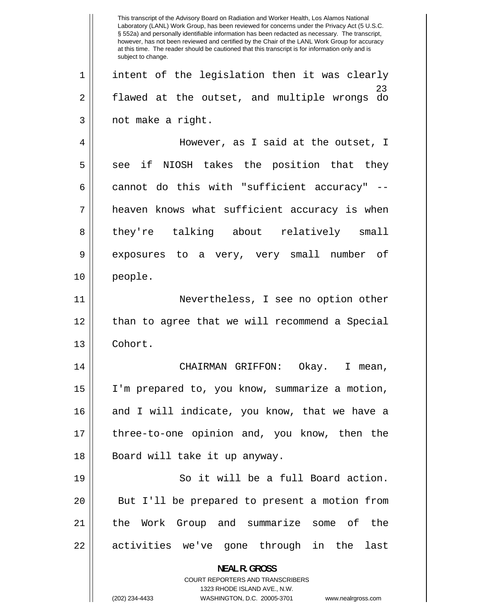23 1 2 3 4 5 6 7 8 9 10 11 12 13 14 15 16 17 18 19 20 21 22 This transcript of the Advisory Board on Radiation and Worker Health, Los Alamos National Laboratory (LANL) Work Group, has been reviewed for concerns under the Privacy Act (5 U.S.C. § 552a) and personally identifiable information has been redacted as necessary. The transcript, however, has not been reviewed and certified by the Chair of the LANL Work Group for accuracy at this time. The reader should be cautioned that this transcript is for information only and is subject to change. intent of the legislation then it was clearly flawed at the outset, and multiple wrongs do not make a right. However, as I said at the outset, I see if NIOSH takes the position that they cannot do this with "sufficient accuracy" - heaven knows what sufficient accuracy is when they're talking about relatively small exposures to a very, very small number of people. Nevertheless, I see no option other than to agree that we will recommend a Special Cohort. CHAIRMAN GRIFFON: Okay. I mean, I'm prepared to, you know, summarize a motion, and I will indicate, you know, that we have a three-to-one opinion and, you know, then the Board will take it up anyway. So it will be a full Board action. But I'll be prepared to present a motion from the Work Group and summarize some of the activities we've gone through in the last **NEAL R. GROSS**  COURT REPORTERS AND TRANSCRIBERS 1323 RHODE ISLAND AVE., N.W. (202) 234-4433 WASHINGTON, D.C. 20005-3701 www.nealrgross.com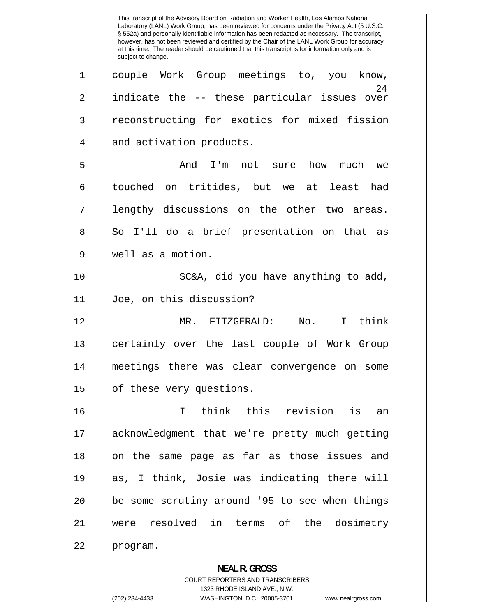24 1 2 3 4 5 6 7 8 9 10 11 12 13 14 15 16 17 18 19 20 21 22 This transcript of the Advisory Board on Radiation and Worker Health, Los Alamos National Laboratory (LANL) Work Group, has been reviewed for concerns under the Privacy Act (5 U.S.C. § 552a) and personally identifiable information has been redacted as necessary. The transcript, however, has not been reviewed and certified by the Chair of the LANL Work Group for accuracy at this time. The reader should be cautioned that this transcript is for information only and is subject to change. couple Work Group meetings to, you know, indicate the -- these particular issues over reconstructing for exotics for mixed fission and activation products. And I'm not sure how much we touched on tritides, but we at least had lengthy discussions on the other two areas. So I'll do a brief presentation on that as well as a motion. SC&A, did you have anything to add, Joe, on this discussion? MR. FITZGERALD: No. I think certainly over the last couple of Work Group meetings there was clear convergence on some of these very questions. I think this revision is an acknowledgment that we're pretty much getting on the same page as far as those issues and as, I think, Josie was indicating there will be some scrutiny around '95 to see when things were resolved in terms of the dosimetry program. **NEAL R. GROSS** 

> COURT REPORTERS AND TRANSCRIBERS 1323 RHODE ISLAND AVE., N.W.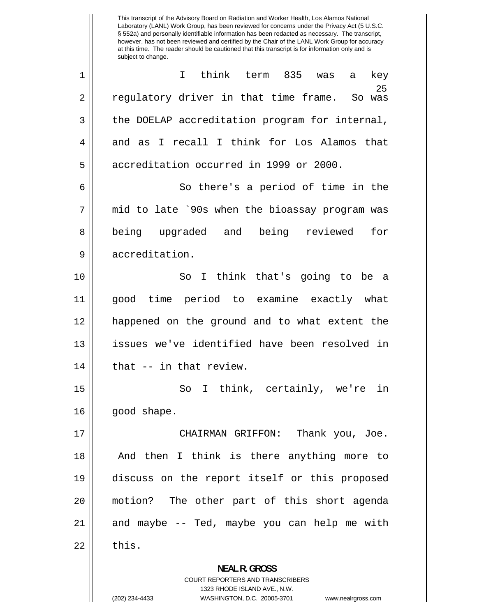1 2 3 4 5 6 7 8 9 10 11 12 13 14 15 16 17 18 19 20 21 22 This transcript of the Advisory Board on Radiation and Worker Health, Los Alamos National Laboratory (LANL) Work Group, has been reviewed for concerns under the Privacy Act (5 U.S.C. § 552a) and personally identifiable information has been redacted as necessary. The transcript, however, has not been reviewed and certified by the Chair of the LANL Work Group for accuracy at this time. The reader should be cautioned that this transcript is for information only and is subject to change. I think term 835 was regulatory driver in that time frame. 25 a key So was the DOELAP accreditation program for internal, and as I recall I think for Los Alamos that accreditation occurred in 1999 or 2000. So there's a period of time in the mid to late `90s when the bioassay program was being upgraded and being reviewed for accreditation. So I think that's going to be a good time period to examine exactly what happened on the ground and to what extent the issues we've identified have been resolved in that -- in that review. So I think, certainly, we're in good shape. CHAIRMAN GRIFFON: Thank you, Joe. And then I think is there anything more to discuss on the report itself or this proposed motion? The other part of this short agenda and maybe -- Ted, maybe you can help me with this. **NEAL R. GROSS** 

> COURT REPORTERS AND TRANSCRIBERS 1323 RHODE ISLAND AVE., N.W.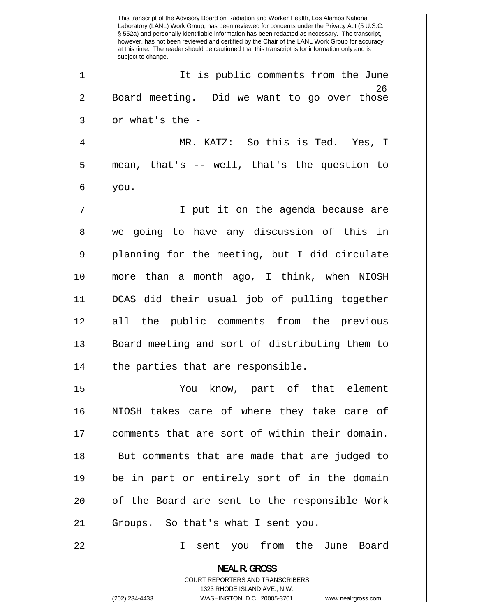<u>26</u> 1 2 3 4 5 6 7 8 9 10 11 12 13 14 15 16 17 18 19 20 21 22 This transcript of the Advisory Board on Radiation and Worker Health, Los Alamos National Laboratory (LANL) Work Group, has been reviewed for concerns under the Privacy Act (5 U.S.C. § 552a) and personally identifiable information has been redacted as necessary. The transcript, however, has not been reviewed and certified by the Chair of the LANL Work Group for accuracy at this time. The reader should be cautioned that this transcript is for information only and is subject to change. It is public comments from the June Board meeting. Did we want to go over those or what's the - MR. KATZ: So this is Ted. Yes, I mean, that's -- well, that's the question to you. I put it on the agenda because are we going to have any discussion of this in planning for the meeting, but I did circulate more than a month ago, I think, when NIOSH DCAS did their usual job of pulling together all the public comments from the previous Board meeting and sort of distributing them to the parties that are responsible. You know, part of that element NIOSH takes care of where they take care of comments that are sort of within their domain. But comments that are made that are judged to be in part or entirely sort of in the domain of the Board are sent to the responsible Work Groups. So that's what I sent you. I sent you from the June Board **NEAL R. GROSS**  COURT REPORTERS AND TRANSCRIBERS 1323 RHODE ISLAND AVE., N.W. (202) 234-4433 WASHINGTON, D.C. 20005-3701 www.nealrgross.com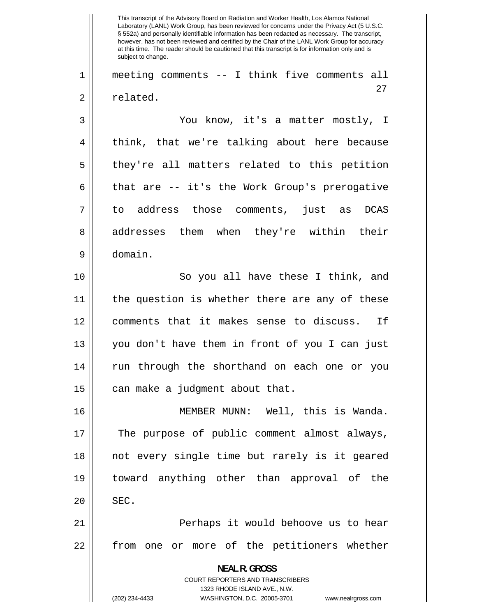27 1 2 3 4 5 6 7 8 9 10 11 12 13 14 15 16 17 18 19 20 21 22 This transcript of the Advisory Board on Radiation and Worker Health, Los Alamos National Laboratory (LANL) Work Group, has been reviewed for concerns under the Privacy Act (5 U.S.C. § 552a) and personally identifiable information has been redacted as necessary. The transcript, however, has not been reviewed and certified by the Chair of the LANL Work Group for accuracy at this time. The reader should be cautioned that this transcript is for information only and is subject to change. meeting comments -- I think five comments all related. You know, it's a matter mostly, I think, that we're talking about here because they're all matters related to this petition that are -- it's the Work Group's prerogative to address those comments, just as DCAS addresses them when they're within their domain. So you all have these I think, and the question is whether there are any of these comments that it makes sense to discuss. If you don't have them in front of you I can just run through the shorthand on each one or you can make a judgment about that. MEMBER MUNN: Well, this is Wanda. The purpose of public comment almost always, not every single time but rarely is it geared toward anything other than approval of the SEC. Perhaps it would behoove us to hear from one or more of the petitioners whether **NEAL R. GROSS**  COURT REPORTERS AND TRANSCRIBERS 1323 RHODE ISLAND AVE., N.W. (202) 234-4433 WASHINGTON, D.C. 20005-3701 www.nealrgross.com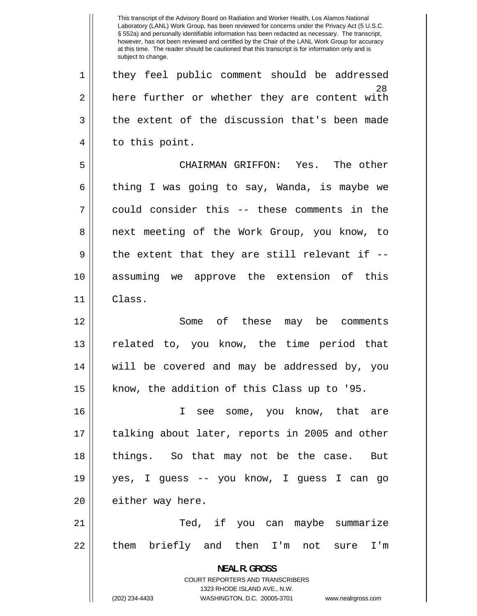<u>28</u> 1 2 3 4 5 6 7 8 9 10 11 12 13 14 15 16 17 18 19 20 21 22 This transcript of the Advisory Board on Radiation and Worker Health, Los Alamos National Laboratory (LANL) Work Group, has been reviewed for concerns under the Privacy Act (5 U.S.C. § 552a) and personally identifiable information has been redacted as necessary. The transcript, however, has not been reviewed and certified by the Chair of the LANL Work Group for accuracy at this time. The reader should be cautioned that this transcript is for information only and is subject to change. they feel public comment should be addressed here further or whether they are content with the extent of the discussion that's been made to this point. CHAIRMAN GRIFFON: Yes. The other thing I was going to say, Wanda, is maybe we could consider this -- these comments in the next meeting of the Work Group, you know, to the extent that they are still relevant if - assuming we approve the extension of this Class. Some of these may be comments related to, you know, the time period that will be covered and may be addressed by, you know, the addition of this Class up to '95. I see some, you know, that are talking about later, reports in 2005 and other things. So that may not be the case. But yes, I guess -- you know, I guess I can go either way here. Ted, if you can maybe summarize them briefly and then I'm not sure I'm **NEAL R. GROSS**  COURT REPORTERS AND TRANSCRIBERS 1323 RHODE ISLAND AVE., N.W. (202) 234-4433 WASHINGTON, D.C. 20005-3701 www.nealrgross.com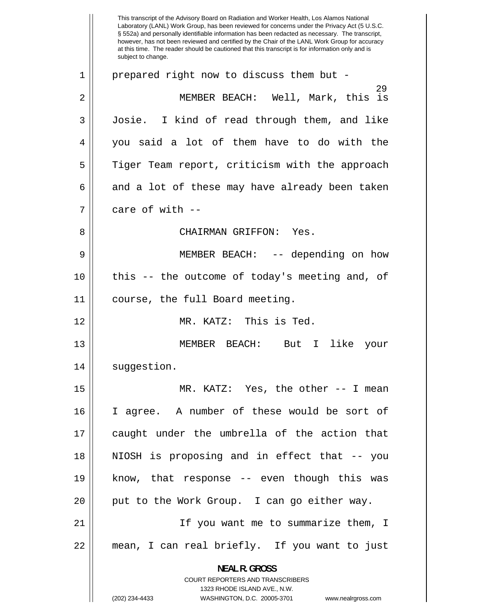29 1 2 3 4 5 6 7 8 9 10 11 12 13 14 15 16 17 18 19 20 21 22 This transcript of the Advisory Board on Radiation and Worker Health, Los Alamos National Laboratory (LANL) Work Group, has been reviewed for concerns under the Privacy Act (5 U.S.C. § 552a) and personally identifiable information has been redacted as necessary. The transcript, however, has not been reviewed and certified by the Chair of the LANL Work Group for accuracy at this time. The reader should be cautioned that this transcript is for information only and is subject to change. prepared right now to discuss them but - MEMBER BEACH: Well, Mark, this is Josie. I kind of read through them, and like you said a lot of them have to do with the Tiger Team report, criticism with the approach and a lot of these may have already been taken care of with -- CHAIRMAN GRIFFON: Yes. MEMBER BEACH: -- depending on how this -- the outcome of today's meeting and, of course, the full Board meeting. MR. KATZ: This is Ted. MEMBER BEACH: But I like your suggestion. MR. KATZ: Yes, the other -- I mean I agree. A number of these would be sort of caught under the umbrella of the action that NIOSH is proposing and in effect that -- you know, that response -- even though this was put to the Work Group. I can go either way. If you want me to summarize them, I mean, I can real briefly. If you want to just **NEAL R. GROSS**  COURT REPORTERS AND TRANSCRIBERS 1323 RHODE ISLAND AVE., N.W.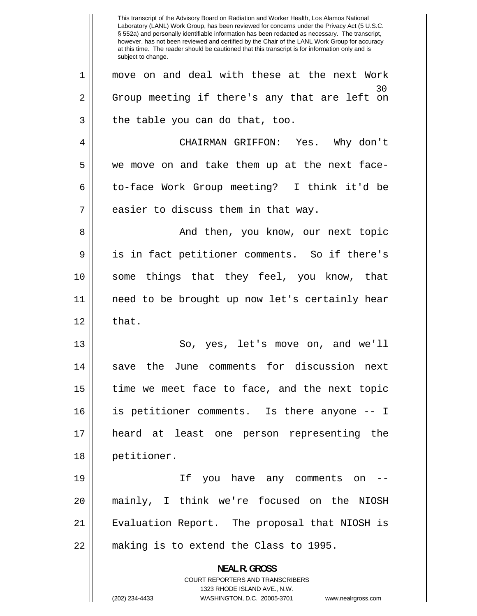30 1 2 3 4 5 6 7 8 9 10 11 12 13 14 15 16 17 18 19 20 21 22 This transcript of the Advisory Board on Radiation and Worker Health, Los Alamos National Laboratory (LANL) Work Group, has been reviewed for concerns under the Privacy Act (5 U.S.C. § 552a) and personally identifiable information has been redacted as necessary. The transcript, however, has not been reviewed and certified by the Chair of the LANL Work Group for accuracy at this time. The reader should be cautioned that this transcript is for information only and is subject to change. move on and deal with these at the next Work Group meeting if there's any that are left on the table you can do that, too. CHAIRMAN GRIFFON: Yes. Why don't we move on and take them up at the next faceto-face Work Group meeting? I think it'd be easier to discuss them in that way. And then, you know, our next topic is in fact petitioner comments. So if there's some things that they feel, you know, that need to be brought up now let's certainly hear that. So, yes, let's move on, and we'll save the June comments for discussion next time we meet face to face, and the next topic is petitioner comments. Is there anyone -- I heard at least one person representing the petitioner. If you have any comments on - mainly, I think we're focused on the NIOSH Evaluation Report. The proposal that NIOSH is making is to extend the Class to 1995. **NEAL R. GROSS**  COURT REPORTERS AND TRANSCRIBERS 1323 RHODE ISLAND AVE., N.W. (202) 234-4433 WASHINGTON, D.C. 20005-3701 www.nealrgross.com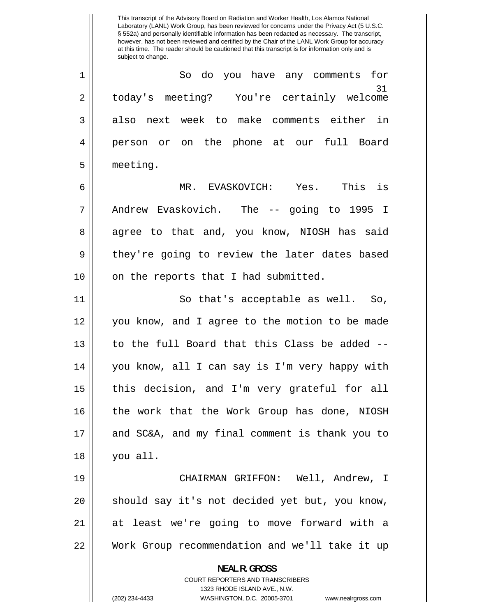31 1 2 3 4 5 6 7 8 9 10 11 12 13 14 15 16 17 18 19 20 21 22 Laboratory (LANL) Work Group, has been reviewed for concerns under the Privacy Act (5 U.S.C. § 552a) and personally identifiable information has been redacted as necessary. The transcript, however, has not been reviewed and certified by the Chair of the LANL Work Group for accuracy at this time. The reader should be cautioned that this transcript is for information only and is subject to change. So do you have any comments for today's meeting? You're certainly welcome also next week to make comments either in person or on the phone at our full Board meeting. MR. EVASKOVICH: Yes. This is Andrew Evaskovich. The -- going to 1995 I agree to that and, you know, NIOSH has said they're going to review the later dates based on the reports that I had submitted. So that's acceptable as well. So, you know, and I agree to the motion to be made to the full Board that this Class be added - you know, all I can say is I'm very happy with this decision, and I'm very grateful for all the work that the Work Group has done, NIOSH and SC&A, and my final comment is thank you to you all. CHAIRMAN GRIFFON: Well, Andrew, I should say it's not decided yet but, you know, at least we're going to move forward with a Work Group recommendation and we'll take it up **NEAL R. GROSS**  COURT REPORTERS AND TRANSCRIBERS 1323 RHODE ISLAND AVE., N.W. (202) 234-4433 WASHINGTON, D.C. 20005-3701 www.nealrgross.com

This transcript of the Advisory Board on Radiation and Worker Health, Los Alamos National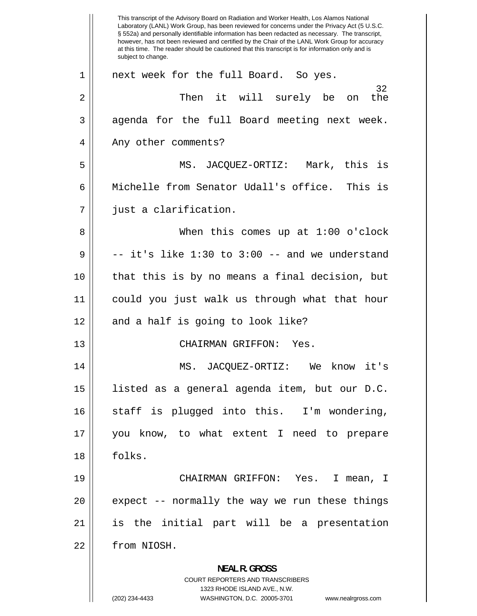1 2 3 4 5 6 7 8 9 10 11 12 13 14 15 16 17 18 19 20 21 22 This transcript of the Advisory Board on Radiation and Worker Health, Los Alamos National Laboratory (LANL) Work Group, has been reviewed for concerns under the Privacy Act (5 U.S.C. § 552a) and personally identifiable information has been redacted as necessary. The transcript, however, has not been reviewed and certified by the Chair of the LANL Work Group for accuracy at this time. The reader should be cautioned that this transcript is for information only and is subject to change. next week for the full Board. So yes. 32 Then it will surely be on the agenda for the full Board meeting next week. Any other comments? MS. JACQUEZ-ORTIZ: Mark, this is Michelle from Senator Udall's office. This is just a clarification. When this comes up at 1:00 o'clock -- it's like 1:30 to 3:00 -- and we understand that this is by no means a final decision, but could you just walk us through what that hour and a half is going to look like? CHAIRMAN GRIFFON: Yes. MS. JACQUEZ-ORTIZ: We know it's listed as a general agenda item, but our D.C. staff is plugged into this. I'm wondering, you know, to what extent I need to prepare folks. CHAIRMAN GRIFFON: Yes. I mean, I expect -- normally the way we run these things is the initial part will be a presentation from NIOSH. **NEAL R. GROSS**  COURT REPORTERS AND TRANSCRIBERS 1323 RHODE ISLAND AVE., N.W. (202) 234-4433 WASHINGTON, D.C. 20005-3701 www.nealrgross.com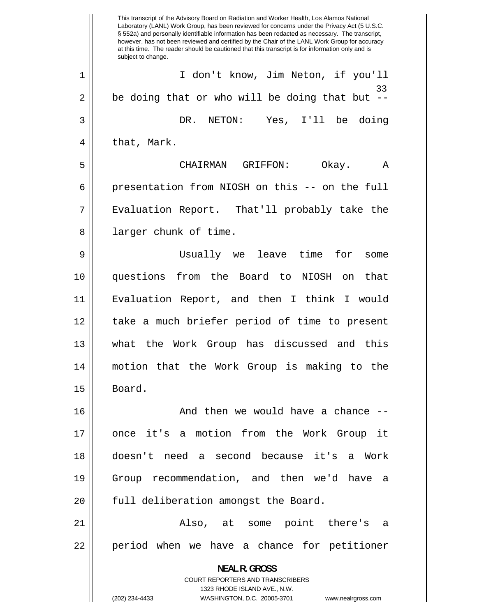33 1 2 3 4 5 6 7 8 9 10 11 12 13 14 15 16 17 18 19 20 21 22 This transcript of the Advisory Board on Radiation and Worker Health, Los Alamos National Laboratory (LANL) Work Group, has been reviewed for concerns under the Privacy Act (5 U.S.C. § 552a) and personally identifiable information has been redacted as necessary. The transcript, however, has not been reviewed and certified by the Chair of the LANL Work Group for accuracy at this time. The reader should be cautioned that this transcript is for information only and is subject to change. I don't know, Jim Neton, if you'll be doing that or who will be doing that but -- DR. NETON: Yes, I'll be doing that, Mark. CHAIRMAN GRIFFON: Okay. A presentation from NIOSH on this -- on the full Evaluation Report. That'll probably take the larger chunk of time. Usually we leave time for some questions from the Board to NIOSH on that Evaluation Report, and then I think I would take a much briefer period of time to present what the Work Group has discussed and this motion that the Work Group is making to the Board. And then we would have a chance - once it's a motion from the Work Group it doesn't need a second because it's a Work Group recommendation, and then we'd have a full deliberation amongst the Board. Also, at some point there's a period when we have a chance for petitioner **NEAL R. GROSS**  COURT REPORTERS AND TRANSCRIBERS 1323 RHODE ISLAND AVE., N.W. (202) 234-4433 WASHINGTON, D.C. 20005-3701 www.nealrgross.com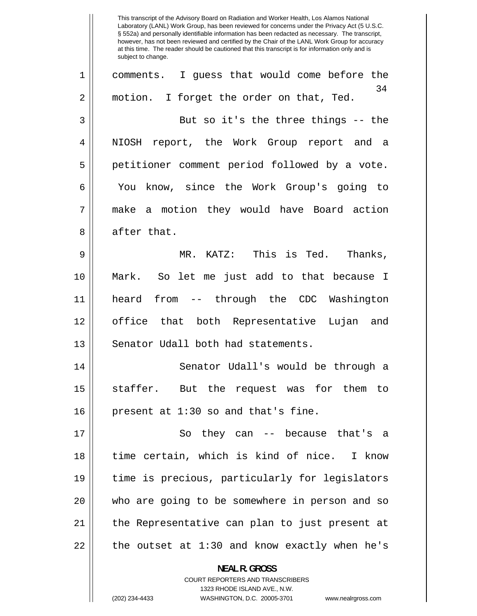34 1 2 3 4 5 6 7 8 9 10 11 12 13 14 15 16 17 18 19 20 21 22 This transcript of the Advisory Board on Radiation and Worker Health, Los Alamos National Laboratory (LANL) Work Group, has been reviewed for concerns under the Privacy Act (5 U.S.C. § 552a) and personally identifiable information has been redacted as necessary. The transcript, however, has not been reviewed and certified by the Chair of the LANL Work Group for accuracy at this time. The reader should be cautioned that this transcript is for information only and is subject to change. comments. I guess that would come before the motion. I forget the order on that, Ted. But so it's the three things -- the NIOSH report, the Work Group report and a petitioner comment period followed by a vote. You know, since the Work Group's going to make a motion they would have Board action after that. MR. KATZ: This is Ted. Thanks, Mark. So let me just add to that because I heard from -- through the CDC Washington office that both Representative Lujan and Senator Udall both had statements. Senator Udall's would be through a staffer. But the request was for them to present at 1:30 so and that's fine. So they can -- because that's a time certain, which is kind of nice. I know time is precious, particularly for legislators who are going to be somewhere in person and so the Representative can plan to just present at the outset at 1:30 and know exactly when he's **NEAL R. GROSS**  COURT REPORTERS AND TRANSCRIBERS

1323 RHODE ISLAND AVE., N.W.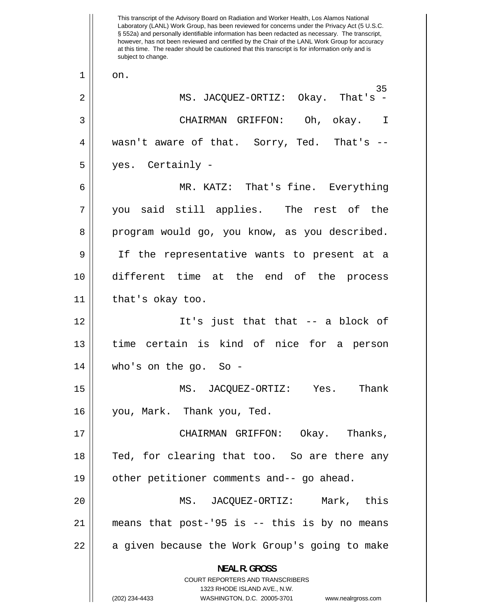1 2 3 4 5 6 7 8 9 10 11 12 13 14 15 16 17 18 19 20 21 22 This transcript of the Advisory Board on Radiation and Worker Health, Los Alamos National Laboratory (LANL) Work Group, has been reviewed for concerns under the Privacy Act (5 U.S.C. § 552a) and personally identifiable information has been redacted as necessary. The transcript, however, has not been reviewed and certified by the Chair of the LANL Work Group for accuracy at this time. The reader should be cautioned that this transcript is for information only and is subject to change. on. 35 MS. JACQUEZ-ORTIZ: Okay. That's - CHAIRMAN GRIFFON: Oh, okay. I wasn't aware of that. Sorry, Ted. That's - yes. Certainly - MR. KATZ: That's fine. Everything you said still applies. The rest of the program would go, you know, as you described. If the representative wants to present at a different time at the end of the process that's okay too. It's just that that -- a block of time certain is kind of nice for a person who's on the go. So - MS. JACQUEZ-ORTIZ: Yes. Thank you, Mark. Thank you, Ted. CHAIRMAN GRIFFON: Okay. Thanks, Ted, for clearing that too. So are there any other petitioner comments and-- go ahead. MS. JACQUEZ-ORTIZ: Mark, this means that post-'95 is -- this is by no means a given because the Work Group's going to make **NEAL R. GROSS**  COURT REPORTERS AND TRANSCRIBERS 1323 RHODE ISLAND AVE., N.W. (202) 234-4433 WASHINGTON, D.C. 20005-3701 www.nealrgross.com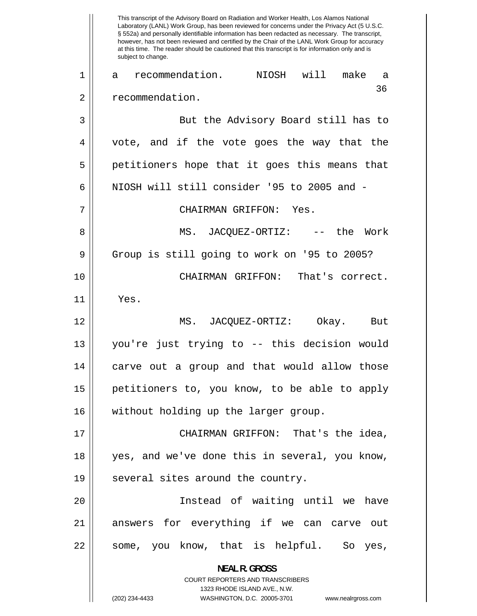1 2 3 4 5 6 7 8 9 10 11 12 13 14 15 16 17 18 19 20 21 22 This transcript of the Advisory Board on Radiation and Worker Health, Los Alamos National Laboratory (LANL) Work Group, has been reviewed for concerns under the Privacy Act (5 U.S.C. § 552a) and personally identifiable information has been redacted as necessary. The transcript, however, has not been reviewed and certified by the Chair of the LANL Work Group for accuracy at this time. The reader should be cautioned that this transcript is for information only and is subject to change. a recommendation. NIOSH will make a recommendation. 36 But the Advisory Board still has to vote, and if the vote goes the way that the petitioners hope that it goes this means that NIOSH will still consider '95 to 2005 and - CHAIRMAN GRIFFON: Yes. MS. JACQUEZ-ORTIZ: -- the Work Group is still going to work on '95 to 2005? CHAIRMAN GRIFFON: That's correct. Yes. MS. JACQUEZ-ORTIZ: Okay. But you're just trying to -- this decision would carve out a group and that would allow those petitioners to, you know, to be able to apply without holding up the larger group. CHAIRMAN GRIFFON: That's the idea, yes, and we've done this in several, you know, several sites around the country. Instead of waiting until we have answers for everything if we can carve out some, you know, that is helpful. So yes, **NEAL R. GROSS**  COURT REPORTERS AND TRANSCRIBERS 1323 RHODE ISLAND AVE., N.W. (202) 234-4433 WASHINGTON, D.C. 20005-3701 www.nealrgross.com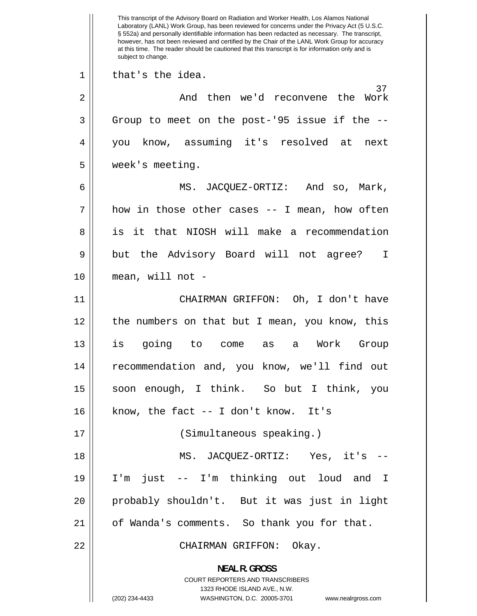1 2 3 4 5 6 7 8 9 10 11 12 13 14 15 16 17 18 19 20 21 22 This transcript of the Advisory Board on Radiation and Worker Health, Los Alamos National Laboratory (LANL) Work Group, has been reviewed for concerns under the Privacy Act (5 U.S.C. § 552a) and personally identifiable information has been redacted as necessary. The transcript, however, has not been reviewed and certified by the Chair of the LANL Work Group for accuracy at this time. The reader should be cautioned that this transcript is for information only and is subject to change. that's the idea. 37 And then we'd reconvene the Work Group to meet on the post-'95 issue if the - you know, assuming it's resolved at next week's meeting. MS. JACQUEZ-ORTIZ: And so, Mark, how in those other cases -- I mean, how often is it that NIOSH will make a recommendation but the Advisory Board will not agree? I mean, will not - CHAIRMAN GRIFFON: Oh, I don't have the numbers on that but I mean, you know, this is going to come as a Work Group recommendation and, you know, we'll find out soon enough, I think. So but I think, you know, the fact -- I don't know. It's (Simultaneous speaking.) MS. JACQUEZ-ORTIZ: Yes, it's -- I'm just -- I'm thinking out loud and I probably shouldn't. But it was just in light of Wanda's comments. So thank you for that. CHAIRMAN GRIFFON: Okay. **NEAL R. GROSS**  COURT REPORTERS AND TRANSCRIBERS 1323 RHODE ISLAND AVE., N.W. (202) 234-4433 WASHINGTON, D.C. 20005-3701 www.nealrgross.com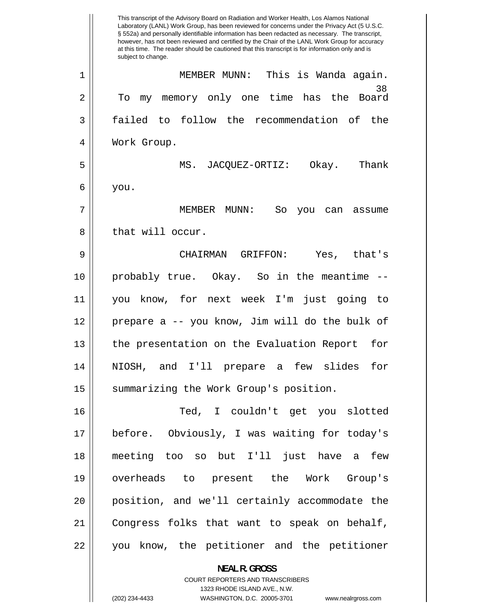|    | This transcript of the Advisory Board on Radiation and Worker Health, Los Alamos National<br>Laboratory (LANL) Work Group, has been reviewed for concerns under the Privacy Act (5 U.S.C.<br>§ 552a) and personally identifiable information has been redacted as necessary. The transcript,<br>however, has not been reviewed and certified by the Chair of the LANL Work Group for accuracy<br>at this time. The reader should be cautioned that this transcript is for information only and is<br>subject to change. |
|----|-------------------------------------------------------------------------------------------------------------------------------------------------------------------------------------------------------------------------------------------------------------------------------------------------------------------------------------------------------------------------------------------------------------------------------------------------------------------------------------------------------------------------|
| 1  | MEMBER MUNN: This is Wanda again.                                                                                                                                                                                                                                                                                                                                                                                                                                                                                       |
| 2  | 38<br>my memory only one time has the Board<br>To                                                                                                                                                                                                                                                                                                                                                                                                                                                                       |
| 3  | failed to follow the recommendation of<br>the                                                                                                                                                                                                                                                                                                                                                                                                                                                                           |
| 4  | Work Group.                                                                                                                                                                                                                                                                                                                                                                                                                                                                                                             |
| 5  | MS. JACOUEZ-ORTIZ: Okay.<br>Thank                                                                                                                                                                                                                                                                                                                                                                                                                                                                                       |
| 6  | you.                                                                                                                                                                                                                                                                                                                                                                                                                                                                                                                    |
| 7  | MEMBER MUNN:<br>So<br>you<br>can<br>assume                                                                                                                                                                                                                                                                                                                                                                                                                                                                              |
| 8  | that will occur.                                                                                                                                                                                                                                                                                                                                                                                                                                                                                                        |
| 9  | GRIFFON:<br>Yes, that's<br>CHAIRMAN                                                                                                                                                                                                                                                                                                                                                                                                                                                                                     |
| 10 | probably true. Okay. So in the meantime                                                                                                                                                                                                                                                                                                                                                                                                                                                                                 |
| 11 | know, for next week I'm<br>just going<br>to<br>you                                                                                                                                                                                                                                                                                                                                                                                                                                                                      |
| 12 | prepare a -- you know, Jim will do the bulk of                                                                                                                                                                                                                                                                                                                                                                                                                                                                          |
| 13 | the presentation on the Evaluation Report<br>for                                                                                                                                                                                                                                                                                                                                                                                                                                                                        |
| 14 | NIOSH, and I'll prepare a few slides for                                                                                                                                                                                                                                                                                                                                                                                                                                                                                |
| 15 | summarizing the Work Group's position.                                                                                                                                                                                                                                                                                                                                                                                                                                                                                  |
| 16 | Ted, I couldn't get you slotted                                                                                                                                                                                                                                                                                                                                                                                                                                                                                         |
| 17 | before. Obviously, I was waiting for today's                                                                                                                                                                                                                                                                                                                                                                                                                                                                            |
| 18 | meeting too so but I'll just have a few                                                                                                                                                                                                                                                                                                                                                                                                                                                                                 |
| 19 | overheads to present the Work Group's                                                                                                                                                                                                                                                                                                                                                                                                                                                                                   |
| 20 | position, and we'll certainly accommodate the                                                                                                                                                                                                                                                                                                                                                                                                                                                                           |
| 21 | Congress folks that want to speak on behalf,                                                                                                                                                                                                                                                                                                                                                                                                                                                                            |
| 22 | you know, the petitioner and the petitioner                                                                                                                                                                                                                                                                                                                                                                                                                                                                             |
|    | <b>NEAL R. GROSS</b>                                                                                                                                                                                                                                                                                                                                                                                                                                                                                                    |

COURT REPORTERS AND TRANSCRIBERS 1323 RHODE ISLAND AVE., N.W.

 $\mathsf{I}$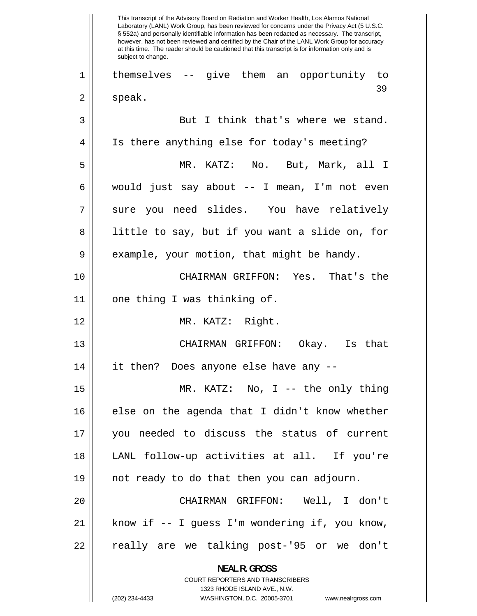39 1 2 3 4 5 6 7 8 9 10 11 12 13 14 15 16 17 18 19 20 21 22 This transcript of the Advisory Board on Radiation and Worker Health, Los Alamos National Laboratory (LANL) Work Group, has been reviewed for concerns under the Privacy Act (5 U.S.C. § 552a) and personally identifiable information has been redacted as necessary. The transcript, however, has not been reviewed and certified by the Chair of the LANL Work Group for accuracy at this time. The reader should be cautioned that this transcript is for information only and is subject to change. themselves -- give them an opportunity to speak. But I think that's where we stand. Is there anything else for today's meeting? MR. KATZ: No. But, Mark, all I would just say about -- I mean, I'm not even sure you need slides. You have relatively little to say, but if you want a slide on, for example, your motion, that might be handy. CHAIRMAN GRIFFON: Yes. That's the one thing I was thinking of. MR. KATZ: Right. CHAIRMAN GRIFFON: Okay. Is that it then? Does anyone else have any -- MR. KATZ: No, I -- the only thing else on the agenda that I didn't know whether you needed to discuss the status of current LANL follow-up activities at all. If you're not ready to do that then you can adjourn. CHAIRMAN GRIFFON: Well, I don't know if -- I guess I'm wondering if, you know, really are we talking post-'95 or we don't **NEAL R. GROSS**  COURT REPORTERS AND TRANSCRIBERS 1323 RHODE ISLAND AVE., N.W.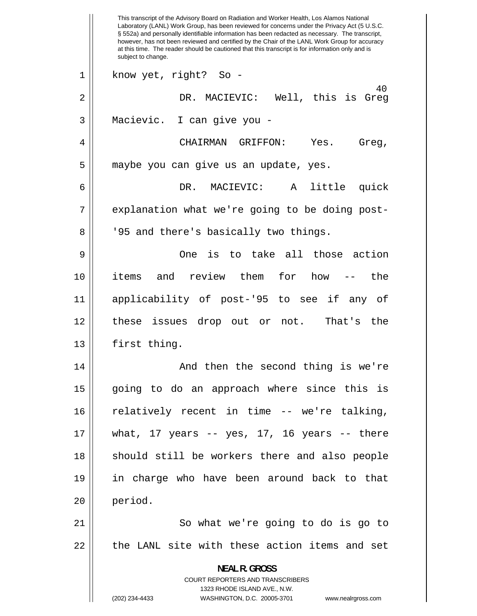40 1 2 3 4 5 6 7 8 9 10 11 12 13 14 15 16 17 18 19 20 21 22 This transcript of the Advisory Board on Radiation and Worker Health, Los Alamos National Laboratory (LANL) Work Group, has been reviewed for concerns under the Privacy Act (5 U.S.C. § 552a) and personally identifiable information has been redacted as necessary. The transcript, however, has not been reviewed and certified by the Chair of the LANL Work Group for accuracy at this time. The reader should be cautioned that this transcript is for information only and is subject to change. know yet, right? So - DR. MACIEVIC: Well, this is Greg Macievic. I can give you - CHAIRMAN GRIFFON: Yes. Greg, maybe you can give us an update, yes. DR. MACIEVIC: A little quick explanation what we're going to be doing post- '95 and there's basically two things. One is to take all those action items and review them for how -- the applicability of post-'95 to see if any of these issues drop out or not. That's the first thing. And then the second thing is we're going to do an approach where since this is relatively recent in time -- we're talking, what, 17 years  $-$  yes, 17, 16 years  $-$  there should still be workers there and also people in charge who have been around back to that period. So what we're going to do is go to the LANL site with these action items and set **NEAL R. GROSS**  COURT REPORTERS AND TRANSCRIBERS 1323 RHODE ISLAND AVE., N.W. (202) 234-4433 WASHINGTON, D.C. 20005-3701 www.nealrgross.com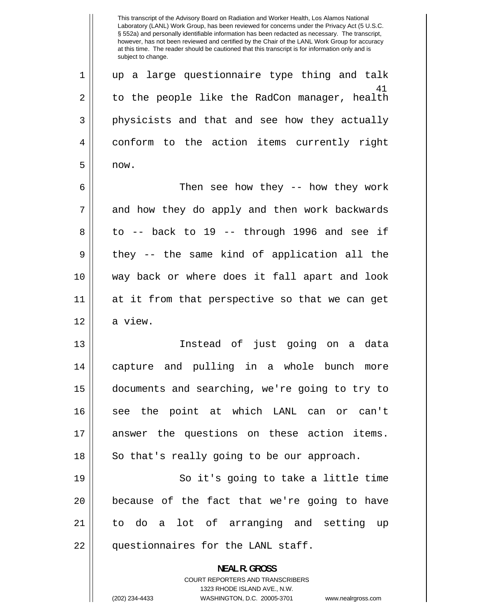41 1 2 3 4 5 6 7 8 9 10 11 12 13 14 15 16 17 18 19 20 21 22 Laboratory (LANL) Work Group, has been reviewed for concerns under the Privacy Act (5 U.S.C. § 552a) and personally identifiable information has been redacted as necessary. The transcript, however, has not been reviewed and certified by the Chair of the LANL Work Group for accuracy at this time. The reader should be cautioned that this transcript is for information only and is subject to change. up a large questionnaire type thing and talk to the people like the RadCon manager, health physicists and that and see how they actually conform to the action items currently right now. Then see how they -- how they work and how they do apply and then work backwards to -- back to 19 -- through 1996 and see if they -- the same kind of application all the way back or where does it fall apart and look at it from that perspective so that we can get a view. Instead of just going on a data capture and pulling in a whole bunch more documents and searching, we're going to try to see the point at which LANL can or can't answer the questions on these action items. So that's really going to be our approach. So it's going to take a little time because of the fact that we're going to have to do a lot of arranging and setting up questionnaires for the LANL staff. **NEAL R. GROSS**  COURT REPORTERS AND TRANSCRIBERS 1323 RHODE ISLAND AVE., N.W.

This transcript of the Advisory Board on Radiation and Worker Health, Los Alamos National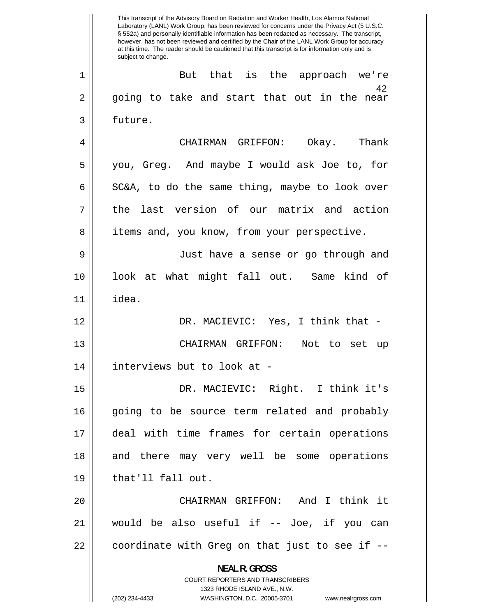42 1 2 3 4 5 6 7 8 9 10 11 12 13 14 15 16 17 18 19 20 21 22 This transcript of the Advisory Board on Radiation and Worker Health, Los Alamos National Laboratory (LANL) Work Group, has been reviewed for concerns under the Privacy Act (5 U.S.C. § 552a) and personally identifiable information has been redacted as necessary. The transcript, however, has not been reviewed and certified by the Chair of the LANL Work Group for accuracy at this time. The reader should be cautioned that this transcript is for information only and is subject to change. But that is the approach we're going to take and start that out in the near future. CHAIRMAN GRIFFON: Okay. Thank you, Greg. And maybe I would ask Joe to, for SC&A, to do the same thing, maybe to look over the last version of our matrix and action items and, you know, from your perspective. Just have a sense or go through and look at what might fall out. Same kind of idea. DR. MACIEVIC: Yes, I think that -CHAIRMAN GRIFFON: Not to set up interviews but to look at - DR. MACIEVIC: Right. I think it's going to be source term related and probably deal with time frames for certain operations and there may very well be some operations that'll fall out. CHAIRMAN GRIFFON: And I think it would be also useful if -- Joe, if you can coordinate with Greg on that just to see if -- **NEAL R. GROSS**  COURT REPORTERS AND TRANSCRIBERS 1323 RHODE ISLAND AVE., N.W. (202) 234-4433 WASHINGTON, D.C. 20005-3701 www.nealrgross.com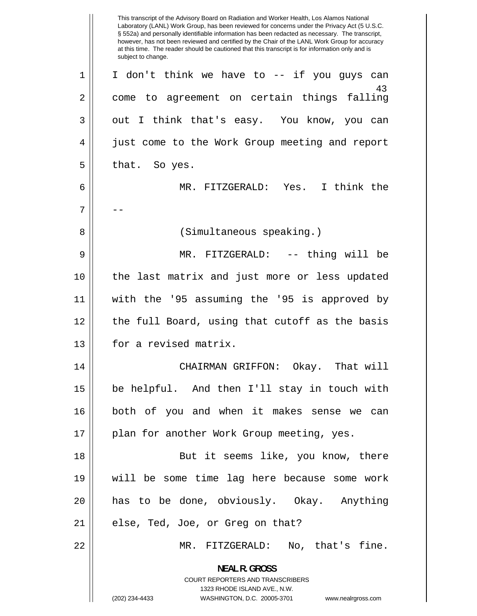-- 43 1 2 3 4 5 6 7 8 9 10 11 12 13 14 15 16 17 18 19 20 21 22 This transcript of the Advisory Board on Radiation and Worker Health, Los Alamos National Laboratory (LANL) Work Group, has been reviewed for concerns under the Privacy Act (5 U.S.C. § 552a) and personally identifiable information has been redacted as necessary. The transcript, however, has not been reviewed and certified by the Chair of the LANL Work Group for accuracy at this time. The reader should be cautioned that this transcript is for information only and is subject to change. I don't think we have to -- if you guys can come to agreement on certain things falling out I think that's easy. You know, you can just come to the Work Group meeting and report that. So yes. MR. FITZGERALD: Yes. I think the (Simultaneous speaking.) MR. FITZGERALD: -- thing will be the last matrix and just more or less updated with the '95 assuming the '95 is approved by the full Board, using that cutoff as the basis for a revised matrix. CHAIRMAN GRIFFON: Okay. That will be helpful. And then I'll stay in touch with both of you and when it makes sense we can plan for another Work Group meeting, yes. But it seems like, you know, there will be some time lag here because some work has to be done, obviously. Okay. Anything else, Ted, Joe, or Greg on that? MR. FITZGERALD: No, that's fine. **NEAL R. GROSS**  COURT REPORTERS AND TRANSCRIBERS 1323 RHODE ISLAND AVE., N.W. (202) 234-4433 WASHINGTON, D.C. 20005-3701 www.nealrgross.com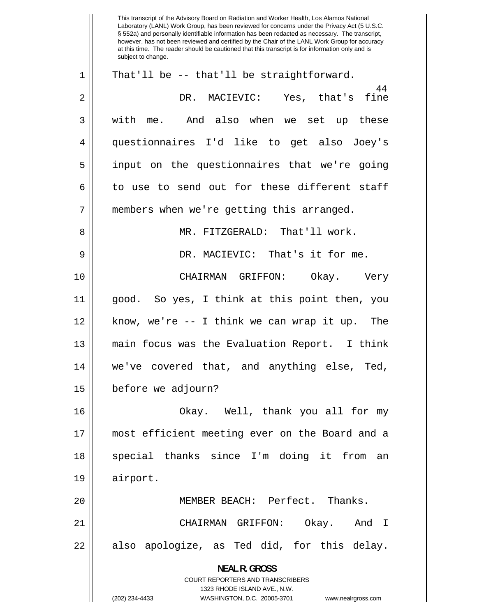44 1 2 3 4 5 6 7 8 9 10 11 12 13 14 15 16 17 18 19 20 21 22 This transcript of the Advisory Board on Radiation and Worker Health, Los Alamos National Laboratory (LANL) Work Group, has been reviewed for concerns under the Privacy Act (5 U.S.C. § 552a) and personally identifiable information has been redacted as necessary. The transcript, however, has not been reviewed and certified by the Chair of the LANL Work Group for accuracy at this time. The reader should be cautioned that this transcript is for information only and is subject to change. That'll be -- that'll be straightforward. DR. MACIEVIC: Yes, that's fine with me. And also when we set up these questionnaires I'd like to get also Joey's input on the questionnaires that we're going to use to send out for these different staff members when we're getting this arranged. MR. FITZGERALD: That'll work. DR. MACIEVIC: That's it for me. CHAIRMAN GRIFFON: Okay. Very good. So yes, I think at this point then, you know, we're -- I think we can wrap it up. The main focus was the Evaluation Report. I think we've covered that, and anything else, Ted, before we adjourn? Okay. Well, thank you all for my most efficient meeting ever on the Board and a special thanks since I'm doing it from an airport. MEMBER BEACH: Perfect. Thanks. CHAIRMAN GRIFFON: Okay. And I also apologize, as Ted did, for this delay. **NEAL R. GROSS**  COURT REPORTERS AND TRANSCRIBERS 1323 RHODE ISLAND AVE., N.W. (202) 234-4433 WASHINGTON, D.C. 20005-3701 www.nealrgross.com